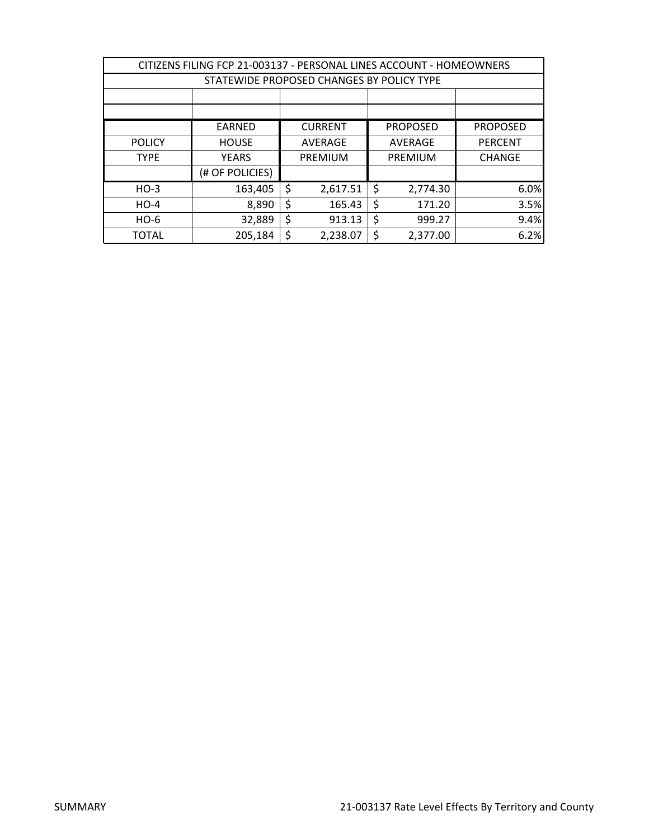| CITIZENS FILING FCP 21-003137 - PERSONAL LINES ACCOUNT - HOMEOWNERS |                                                                |    |          |    |          |                |  |  |
|---------------------------------------------------------------------|----------------------------------------------------------------|----|----------|----|----------|----------------|--|--|
|                                                                     | STATEWIDE PROPOSED CHANGES BY POLICY TYPE                      |    |          |    |          |                |  |  |
|                                                                     |                                                                |    |          |    |          |                |  |  |
|                                                                     |                                                                |    |          |    |          |                |  |  |
|                                                                     | <b>CURRENT</b><br><b>PROPOSED</b><br><b>PROPOSED</b><br>EARNED |    |          |    |          |                |  |  |
| <b>POLICY</b>                                                       | <b>HOUSE</b>                                                   |    | AVERAGE  |    | AVERAGE  | <b>PERCENT</b> |  |  |
| <b>TYPE</b>                                                         | <b>YEARS</b>                                                   |    | PREMIUM  |    | PREMIUM  | <b>CHANGE</b>  |  |  |
|                                                                     | (# OF POLICIES)                                                |    |          |    |          |                |  |  |
| $HO-3$                                                              | 163,405                                                        | \$ | 2,617.51 | \$ | 2,774.30 | 6.0%           |  |  |
| $HO-4$                                                              | 8,890                                                          | \$ | 165.43   | \$ | 171.20   | 3.5%           |  |  |
| $HO-6$                                                              | 32,889                                                         | \$ | 913.13   | \$ | 999.27   | 9.4%           |  |  |
| <b>TOTAL</b>                                                        | 205,184                                                        | \$ | 2,238.07 | \$ | 2,377.00 | 6.2%           |  |  |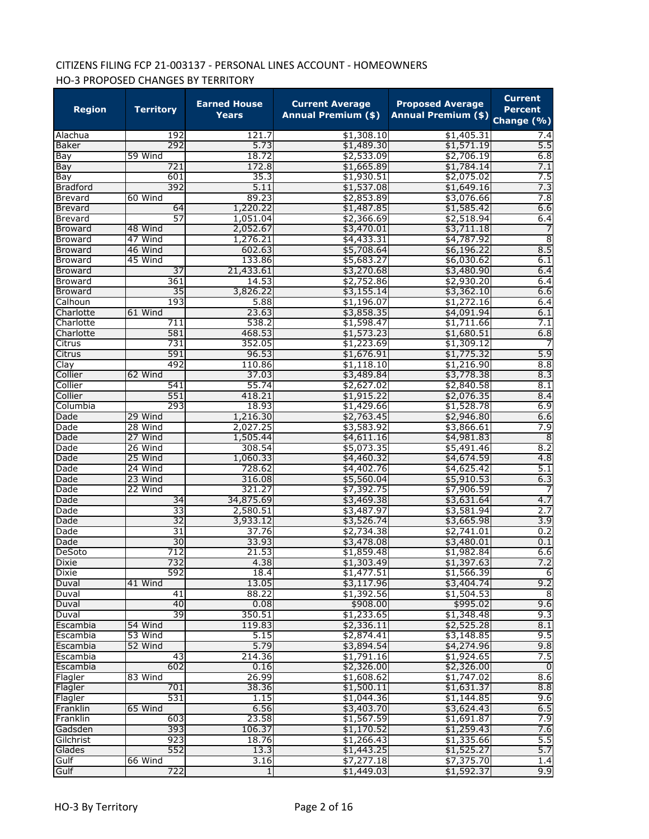# CITIZENS FILING FCP 21-003137 - PERSONAL LINES ACCOUNT - HOMEOWNERS HO-3 PROPOSED CHANGES BY TERRITORY

| <b>Region</b>   | <b>Territory</b>   | <b>Earned House</b><br>Years | <b>Current Average</b><br><b>Annual Premium (\$)</b> | <b>Proposed Average</b><br>Annual Premium (\$) Change (%) | <b>Current</b><br><b>Percent</b> |
|-----------------|--------------------|------------------------------|------------------------------------------------------|-----------------------------------------------------------|----------------------------------|
| Alachua         | 192                | 121.7                        | \$1,308.10                                           | \$1,405.31                                                | 7.4                              |
| Baker           | 292                | 5.73                         | \$1,489.30                                           | \$1,571.19                                                | 5.5                              |
| Bay             | 59 Wind            | 18.72                        | \$2,533.09                                           | \$2,706.19                                                | 6.8                              |
| Bay             | 721                | 172.8                        | \$1,665.89                                           | \$1,784.14                                                | 7.1                              |
| Bay             | 601                | 35.3                         | \$1,930.51                                           | \$2,075.02                                                | 7.5                              |
| <b>Bradford</b> | 392                | 5.11                         | \$1,537.08                                           | \$1,649.16                                                | 7.3                              |
| <b>Brevard</b>  | 60 Wind            | 89.23                        | \$2,853.89                                           | \$3,076.66                                                | 7.8                              |
| Brevard         | 64                 | 1,220.22                     | \$1,487.85                                           | \$1,585.42                                                | 6.6                              |
| Brevard         | 57                 | 1,051.04                     | \$2,366.69                                           | \$2,518.94                                                | 6.4                              |
| <b>Broward</b>  | 48 Wind            | 2,052.67                     | \$3,470.01                                           | \$3,711.18                                                |                                  |
| Broward         | 47 Wind            | 1,276.21                     | \$4,433.31                                           | \$4,787.92                                                | $\overline{8}$                   |
| <b>Broward</b>  | 46 Wind            | 602.63                       | \$5,708.64                                           | \$6,196.22                                                | 8.5                              |
| Broward         | 45 Wind            | 133.86                       | \$5,683.27                                           | \$6,030.62                                                | 6.1                              |
| <b>Broward</b>  | $\overline{37}$    | 21,433.61                    | \$3,270.68                                           | \$3,480.90                                                | 6.4                              |
| <b>Broward</b>  | 361                | 14.53                        | \$2,752.86                                           | \$2,930.20                                                | 6.4                              |
| <b>Broward</b>  | 35                 | 3,826.22                     | \$3,155.14                                           | \$3,362.10                                                | 6.6                              |
| Calhoun         | 193                | 5.88                         | \$1,196.07                                           | \$1,272.16                                                | 6.4                              |
| Charlotte       | 61 Wind            | 23.63                        | \$3,858.35                                           | \$4,091.94                                                | 6.1                              |
| Charlotte       | 711                | 538.2                        | \$1,598.47                                           | \$1,711.66                                                | 7.1                              |
| Charlotte       | 581                | 468.53                       | \$1,573.23                                           | \$1,680.51                                                | 6.8                              |
| Citrus          | 731                | 352.05                       | \$1,223.69                                           | \$1,309.12                                                |                                  |
| Citrus          | 591                | 96.53                        | \$1,676.91                                           | \$1,775.32                                                | 5.9                              |
| Clay            | 492                | 110.86                       | \$1,118.10                                           | \$1,216.90                                                | 8.8                              |
| Collier         | 62 Wind            | 37.03                        | \$3,489.84                                           | \$3,778.38                                                | 8.3                              |
| Collier         | 541                | 55.74                        | \$2,627.02                                           | \$2,840.58                                                | 8.1                              |
| Collier         | 551                | 418.21                       | \$1,915.22                                           | \$2,076.35                                                | 8.4                              |
| Columbia        | 293                | 18.93                        | \$1,429.66                                           | \$1,528.78                                                | 6.9                              |
| Dade            | 29 Wind            | 1,216.30                     | \$2,763.45                                           | \$2,946.80                                                | 6.6                              |
| Dade            | 28 Wind            | 2,027.25                     | \$3,583.92                                           | \$3,866.61                                                | 7.9                              |
| Dade            | 27 Wind            | 1,505.44                     | \$4,611.16                                           | \$4,981.83                                                | $\overline{8}$                   |
| Dade            | 26 Wind            | 308.54                       | \$5,073.35                                           | \$5,491.46                                                | 8.2<br>4.8                       |
| Dade<br>Dade    | 25 Wind<br>24 Wind | 1,060.33<br>728.62           | \$4,460.32<br>\$4,402.76                             | \$4,674.59<br>\$4,625.42                                  | 5.1                              |
|                 | 23 Wind            | 316.08                       | \$5,560.04                                           |                                                           | 6.3                              |
| Dade<br>Dade    | 22 Wind            | 321.27                       | \$7,392.75                                           | \$5,910.53<br>\$7,906.59                                  |                                  |
| Dade            | 34                 | 34,875.69                    | \$3,469.38                                           | \$3,631.64                                                | 4.7                              |
| Dade            | 33                 | 2,580.51                     | \$3,487.97                                           | \$3,581.94                                                | 2.7                              |
| Dade            | 32                 | 3,933.12                     | \$3,526.74                                           | \$3,665.98                                                | 3.9                              |
| Dade            | 31                 | 37.76                        | \$2,734.38                                           | \$2,741.01                                                | 0.2                              |
| Dade            | 30                 | 33.93                        | \$3,478.08                                           | \$3,480.01                                                | 0.1                              |
| DeSoto          | 712                | 21.53                        | \$1,859.48                                           | \$1,982.84                                                | 6.6                              |
| <b>Dixie</b>    | 732                | 4.38                         | \$1,303.49                                           | \$1,397.63                                                | 7.2                              |
| Dixie           | 592                | 18.4                         | \$1,477.51                                           | \$1,566.39                                                | $\overline{6}$                   |
| Duval           | 41 Wind            | 13.05                        | \$3,117.96                                           | \$3,404.74                                                | 9.2                              |
| Duval           | 41                 | 88.22                        | \$1,392.56                                           | \$1,504.53                                                | 8                                |
| Duval           | 40                 | 0.08                         | \$908.00                                             | \$995.02                                                  | 9.6                              |
| Duval           | 39                 | 350.51                       | \$1,233.65                                           | \$1,348.48                                                | 9.3                              |
| Escambia        | 54 Wind            | 119.83                       | \$2,336.11                                           | \$2,525.28                                                | 8.1                              |
| Escambia        | 53 Wind            | 5.15                         | \$2,874.41                                           | \$3,148.85                                                | 9.5                              |
| Escambia        | 52 Wind            | 5.79                         | \$3,894.54                                           | \$4,274.96                                                | 9.8                              |
| Escambia        | 43                 | 214.36                       | \$1,791.16                                           | \$1,924.65                                                | 7.5                              |
| Escambia        | 602                | 0.16                         | \$2,326.00                                           | \$2,326.00                                                | o                                |
| Flagler         | 83 Wind            | 26.99                        | \$1,608.62                                           | \$1,747.02                                                | 8.6                              |
| Flagler         | 701                | 38.36                        | \$1,500.11                                           | \$1,631.37                                                | 8.8                              |
| Flagler         | 531                | 1.15                         | \$1,044.36                                           | \$1,144.85                                                | 9.6                              |
| Franklin        | 65 Wind            | 6.56                         | \$3,403.70                                           | \$3,624.43                                                | 6.5                              |
| Franklin        | 603                | 23.58                        | \$1,567.59                                           | \$1,691.87                                                | 7.9                              |
| Gadsden         | 393                | 106.37                       | \$1,170.52                                           | \$1,259.43                                                | 7.6                              |
| Gilchrist       | 923                | 18.76                        | \$1,266.43                                           | \$1,335.66                                                | 5.5                              |
| Glades          | 552                | 13.3                         | \$1,443.25                                           | \$1,525.27                                                | 5.7                              |
| Gulf            | 66 Wind            | 3.16                         | \$7,277.18                                           | \$7,375.70                                                | 1.4                              |
| Gulf            | 722                | $\mathbf{1}$                 | \$1,449.03                                           | \$1,592.37                                                | 9.9                              |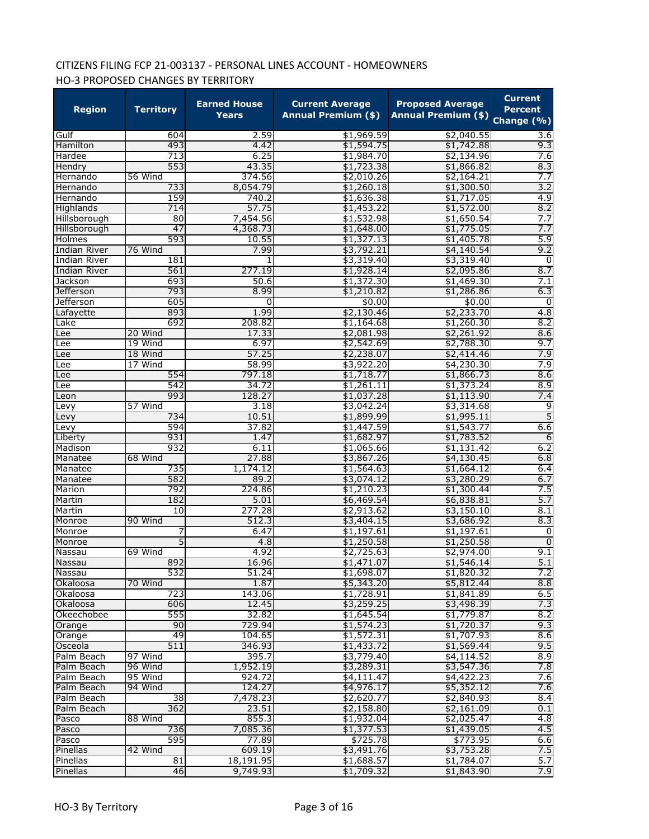# CITIZENS FILING FCP 21-003137 - PERSONAL LINES ACCOUNT - HOMEOWNERS HO-3 PROPOSED CHANGES BY TERRITORY

| <b>Region</b>                        | <b>Territory</b> | <b>Earned House</b><br><b>Years</b> | <b>Current Average</b><br><b>Annual Premium (\$)</b> | <b>Proposed Average</b><br>Annual Premium (\$) Change (%) | <b>Current</b><br><b>Percent</b> |
|--------------------------------------|------------------|-------------------------------------|------------------------------------------------------|-----------------------------------------------------------|----------------------------------|
| Gulf                                 | 604              | 2.59                                | \$1,969.59                                           | \$2,040.55                                                | 3.6                              |
| Hamilton                             | 493              | 4.42                                | \$1,594.75                                           | \$1,742.88                                                | 9.3                              |
| Hardee                               | 713              | 6.25                                | \$1,984.70                                           | \$2,134.96                                                | 7.6                              |
| Hendry                               | 553              | 43.35                               | \$1,723.38                                           | \$1,866.82                                                | 8.3                              |
| Hernando                             | 56 Wind          | 374.56                              | \$2,010.26                                           | \$2,164.21                                                | 7.7                              |
| Hernando                             | 733              | 8,054.79                            | \$1,260.18                                           | \$1,300.50                                                | 3.2                              |
| Hernando                             | 159              | 740.2                               | \$1,636.38                                           | \$1,717.05                                                | 4.9                              |
| Highlands                            | 714              | 57.75                               | \$1,453.22                                           | \$1,572.00                                                | 8.2                              |
| Hillsborough                         | 80               | 7,454.56                            | \$1,532.98                                           | \$1,650.54                                                | 7.7                              |
| Hillsborough                         | 47               | 4,368.73                            | \$1,648.00                                           | \$1,775.05                                                | 7.7                              |
| Holmes                               | 593              | 10.55                               | \$1,327.13                                           | \$1,405.78                                                | 5.9                              |
| <b>Indian River</b>                  | 76 Wind<br>181   | 7.99<br>1                           | \$3,792.21                                           | \$4,140.54                                                | 9.2<br>$\overline{0}$            |
| <b>Indian River</b>                  | 561              |                                     | \$3,319.40                                           | \$3,319.40                                                |                                  |
| <b>Indian River</b>                  | 693              | 277.19<br>50.6                      | \$1,928.14                                           | \$2,095.86                                                | 8.7<br>7.1                       |
| Jackson                              | 793              | 8.99                                | \$1,372.30                                           | \$1,469.30                                                | 6.3                              |
| <b>Jefferson</b><br><b>Jefferson</b> | 605              | $\Omega$                            | \$1,210.82<br>\$0.00                                 | \$1,286.86<br>\$0.00                                      | 0                                |
|                                      | 893              | 1.99                                | \$2,130.46                                           | \$2,233.70                                                | 4.8                              |
| Lafayette<br>Lake                    | 692              | 208.82                              | \$1,164.68                                           | \$1,260.30                                                | 8.2                              |
|                                      | 20 Wind          | 17.33                               | \$2,081.98                                           | \$2,261.92                                                | 8.6                              |
| Lee<br>Lee                           | 19 Wind          | 6.97                                | \$2,542.69                                           | \$2,788.30                                                | 9.7                              |
|                                      | 18 Wind          | 57.25                               | \$2,238.07                                           | \$2,414.46                                                | 7.9                              |
| Lee<br>Lee                           | 17 Wind          | 58.99                               | \$3,922.20                                           | \$4,230.30                                                | 7.9                              |
|                                      | 554              | 797.18                              | \$1,718.77                                           | \$1,866.73                                                | 8.6                              |
| Lee<br>Lee                           | 542              | 34.72                               | \$1,261.11                                           | \$1,373.24                                                | 8.9                              |
|                                      | 993              | 128.27                              | \$1,037.28                                           | \$1,113.90                                                | 7.4                              |
| Leon                                 | 57 Wind          | 3.18                                | \$3,042.24                                           | \$3,314.68                                                | 9                                |
| Levy<br>Levy                         | 734              | 10.51                               | \$1,899.99                                           | \$1,995.11                                                | 5                                |
| Levy                                 | 594              | 37.82                               | \$1,447.59                                           | \$1,543.77                                                | 6.6                              |
| Liberty                              | 931              | 1.47                                | \$1,682.97                                           | \$1,783.52                                                | $\overline{6}$                   |
| Madison                              | 932              | 6.11                                | \$1,065.66                                           | \$1,131.42                                                | 6.2                              |
| Manatee                              | 68 Wind          | 27.88                               | \$3,867.26                                           | \$4,130.45                                                | 6.8                              |
| Manatee                              | 735              | 1,174.12                            | \$1,564.63                                           | \$1,664.12                                                | 6.4                              |
| Manatee                              | 582              | 89.2                                | \$3,074.12                                           | \$3,280.29                                                | 6.7                              |
| Marion                               | 792              | 224.86                              | \$1,210.23                                           | \$1,300.44                                                | 7.5                              |
| Martin                               | 182              | 5.01                                | \$6,469.54                                           | \$6,838.81                                                | 5.7                              |
| Martin                               | 10               | 277.28                              | \$2,913.62                                           | \$3,150.10                                                | 8.1                              |
| Monroe                               | 90 Wind          | 512.3                               | \$3,404.15                                           | \$3,686.92                                                | 8.3                              |
| Monroe                               | 7                | 6.47                                | \$1,197.61                                           | \$1,197.61                                                | 0                                |
| Monroe                               | 5                | 4.8                                 | \$1,250.58                                           | \$1,250.58                                                | $\mathbf 0$                      |
| Nassau                               | 69 Wind          | 4.92                                | \$2,725.63                                           | \$2,974.00                                                | 9.1                              |
| Nassau                               | 892              | 16.96                               | \$1,471.07                                           | \$1,546.14                                                | 5.1                              |
| Nassau                               | 532              | 51.24                               | \$1,698.07                                           | \$1,820.32                                                | 7.2                              |
| Okaloosa                             | 70 Wind          | 1.87                                | \$5,343.20                                           | \$5,812.44                                                | 8.8                              |
| Okaloosa                             | 723              | 143.06                              | \$1,728.91                                           | \$1,841.89                                                | 6.5                              |
| Okaloosa                             | 606              | 12.45                               | \$3,259.25                                           | \$3,498.39                                                | 7.3                              |
| Okeechobee                           | 555              | 32.82                               | \$1,645.54                                           | \$1,779.87                                                | 8.2                              |
| Orange                               | 90               | 729.94                              | \$1,574.23                                           | \$1,720.37                                                | 9.3                              |
| Orange                               | 49               | 104.65                              | \$1,572.31                                           | \$1,707.93                                                | 8.6                              |
| Osceola                              | 511              | 346.93                              | \$1,433.72                                           | \$1,569.44                                                | 9.5                              |
| Palm Beach                           | 97 Wind          | 395.7                               | \$3,779.40                                           | \$4,114.52                                                | 8.9                              |
| Palm Beach                           | 96 Wind          | 1,952.19                            | \$3,289.31                                           | \$3,547.36                                                | 7.8                              |
| Palm Beach                           | 95 Wind          | 924.72                              | \$4,111.47                                           | \$4,422.23                                                | 7.6                              |
| Palm Beach                           | 94 Wind          | 124.27                              | \$4,976.17                                           | \$5,352.12                                                | 7.6                              |
| Palm Beach                           | 38               | 7,478.23                            | \$2,620.77                                           | \$2,840.93                                                | 8.4                              |
| Palm Beach                           | 362              | 23.51                               | \$2,158.80                                           | \$2,161.09                                                | 0.1                              |
| Pasco                                | 88 Wind          | 855.3                               | \$1,932.04                                           | \$2,025.47                                                | 4.8                              |
| Pasco                                | 736              | 7,085.36                            | \$1,377.53                                           | \$1,439.05                                                | 4.5                              |
| Pasco                                | 595              | 77.89                               | \$725.78                                             | \$773.95                                                  | 6.6                              |
| Pinellas                             | 42 Wind          | 609.19                              | \$3,491.76                                           | \$3,753.28                                                | 7.5                              |
| Pinellas                             | 81               | 18,191.95                           | \$1,688.57                                           | \$1,784.07                                                | 5.7                              |
| Pinellas                             | 46               | 9,749.93                            | \$1,709.32                                           | \$1,843.90                                                | 7.9                              |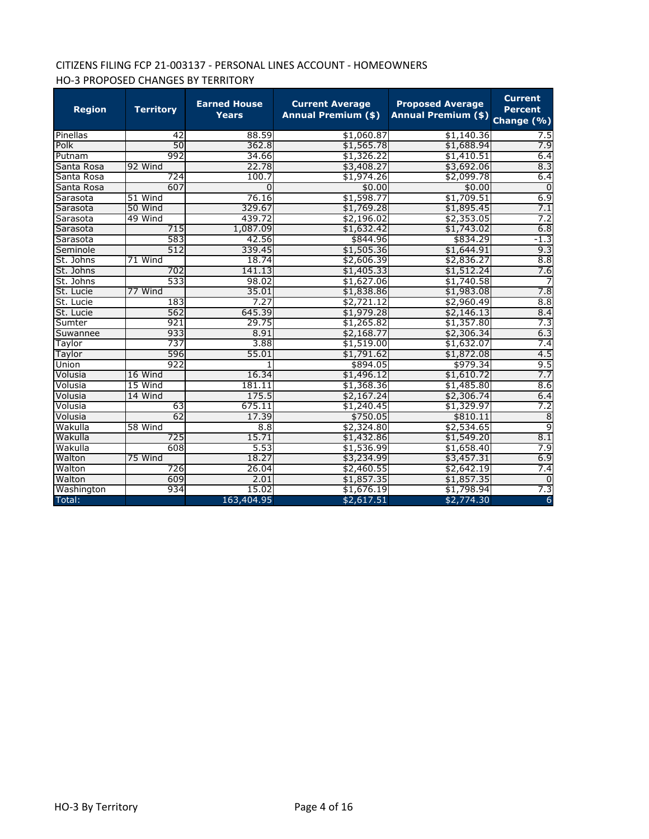# CITIZENS FILING FCP 21-003137 - PERSONAL LINES ACCOUNT - HOMEOWNERS HO-3 PROPOSED CHANGES BY TERRITORY

| <b>Region</b> | <b>Territory</b> | <b>Earned House</b><br><b>Years</b> | <b>Current Average</b><br><b>Annual Premium (\$)</b> | <b>Proposed Average</b><br><b>Annual Premium (\$)</b> | <b>Current</b><br><b>Percent</b><br>Change (%) |
|---------------|------------------|-------------------------------------|------------------------------------------------------|-------------------------------------------------------|------------------------------------------------|
| Pinellas      | 42               | 88.59                               | \$1,060.87                                           | \$1,140.36                                            | 7.5                                            |
| Polk          | 50               | 362.8                               | \$1,565.78                                           | \$1,688.94                                            | 7.9                                            |
| Putnam        | 992              | 34.66                               | \$1,326.22                                           | \$1,410.51                                            | 6.4                                            |
| Santa Rosa    | 92 Wind          | 22.78                               | \$3,408.27                                           | \$3,692.06                                            | 8.3                                            |
| Santa Rosa    | 724              | 100.7                               | \$1,974.26                                           | \$2,099.78                                            | 6.4                                            |
| Santa Rosa    | 607              | $\overline{0}$                      | \$0.00                                               | \$0.00                                                | $\overline{0}$                                 |
| Sarasota      | 51 Wind          | 76.16                               | \$1,598.77                                           | \$1,709.51                                            | 6.9                                            |
| Sarasota      | 50 Wind          | 329.67                              | \$1,769.28                                           | \$1,895.45                                            | 7.1                                            |
| Sarasota      | 49 Wind          | 439.72                              | \$2,196.02                                           | \$2,353.05                                            | 7.2                                            |
| Sarasota      | 715              | 1,087.09                            | \$1,632.42                                           | \$1,743.02                                            | 6.8                                            |
| Sarasota      | 583              | 42.56                               | \$844.96                                             | \$834.29                                              | $-1.3$                                         |
| Seminole      | 512              | 339.45                              | \$1,505.36                                           | \$1,644.91                                            | 9.3                                            |
| St. Johns     | 71 Wind          | 18.74                               | \$2,606.39                                           | \$2,836.27                                            | 8.8                                            |
| St. Johns     | 702              | 141.13                              | \$1,405.33                                           | \$1,512.24                                            | 7.6                                            |
| St. Johns     | 533              | 98.02                               | \$1,627.06                                           | \$1,740.58                                            |                                                |
| St. Lucie     | 77 Wind          | 35.01                               | \$1,838.86                                           | \$1,983.08                                            | 7.8                                            |
| St. Lucie     | 183              | 7.27                                | \$2,721.12                                           | \$2,960.49                                            | 8.8                                            |
| St. Lucie     | 562              | 645.39                              | \$1,979.28                                           | \$2,146.13                                            | 8.4                                            |
| Sumter        | 921              | 29.75                               | \$1,265.82                                           | \$1,357.80                                            | 7.3                                            |
| Suwannee      | 933              | 8.91                                | \$2,168.77                                           | \$2,306.34                                            | 6.3                                            |
| Taylor        | 737              | 3.88                                | \$1,519.00                                           | \$1,632.07                                            | 7.4                                            |
| Taylor        | 596              | 55.01                               | \$1,791.62                                           | \$1,872.08                                            | 4.5                                            |
| Union         | 922              | 1                                   | \$894.05                                             | \$979.34                                              | 9.5                                            |
| Volusia       | 16 Wind          | 16.34                               | \$1,496.12                                           | \$1,610.72                                            | 7.7                                            |
| Volusia       | 15 Wind          | 181.11                              | \$1,368.36                                           | \$1,485.80                                            | 8.6                                            |
| Volusia       | 14 Wind          | 175.5                               | \$2,167.24                                           | \$2,306.74                                            | 6.4                                            |
| Volusia       | 63               | 675.11                              | \$1,240.45                                           | \$1,329.97                                            | 7.2                                            |
| Volusia       | 62               | 17.39                               | \$750.05                                             | \$810.11                                              | $\overline{8}$                                 |
| Wakulla       | 58 Wind          | 8.8                                 | \$2,324.80                                           | \$2,534.65                                            | 9                                              |
| Wakulla       | 725              | 15.71                               | \$1,432.86                                           | \$1,549.20                                            | 8.1                                            |
| Wakulla       | 608              | 5.53                                | \$1,536.99                                           | \$1,658.40                                            | 7.9                                            |
| Walton        | 75 Wind          | 18.27                               | \$3,234.99                                           | \$3,457.31                                            | 6.9                                            |
| Walton        | 726              | 26.04                               | \$2,460.55                                           | \$2,642.19                                            | 7.4                                            |
| Walton        | 609              | 2.01                                | \$1,857.35                                           | \$1,857.35                                            | $\Omega$                                       |
| Washington    | 934              | 15.02                               | \$1,676.19                                           | \$1,798.94                                            | 7.3                                            |
| Total:        |                  | 163,404.95                          | \$2,617.51                                           | \$2,774.30                                            | 6                                              |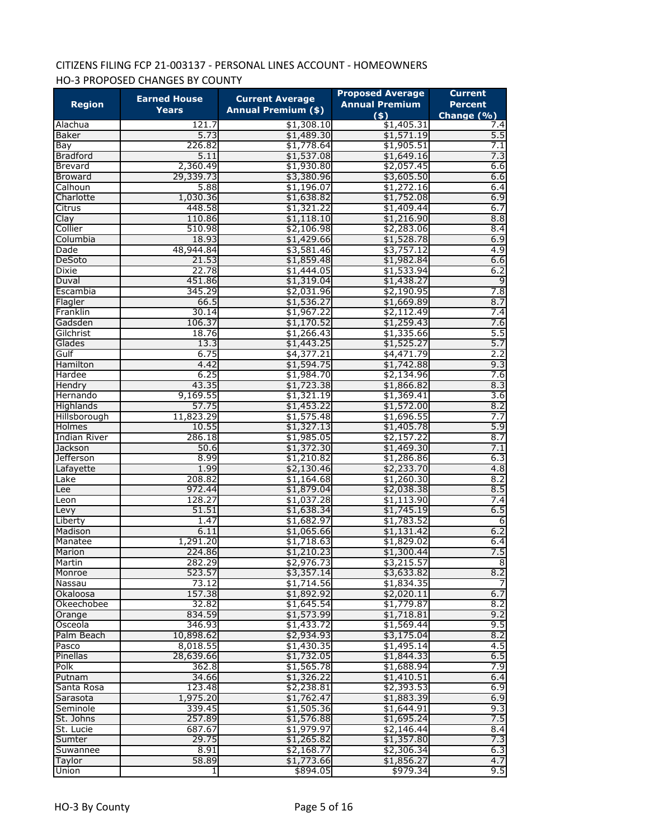# CITIZENS FILING FCP 21-003137 - PERSONAL LINES ACCOUNT - HOMEOWNERS HO-3 PROPOSED CHANGES BY COUNTY

|                        | <b>Earned House</b> | <b>Current Average</b>     | <b>Proposed Average</b>      | <b>Current</b>               |
|------------------------|---------------------|----------------------------|------------------------------|------------------------------|
| <b>Region</b>          | <b>Years</b>        | <b>Annual Premium (\$)</b> | <b>Annual Premium</b><br>(5) | <b>Percent</b><br>Change (%) |
| Alachua                | 121.7               | \$1,308.10                 | \$1,405.31                   | $7.\bar{4}$                  |
| <b>Baker</b>           | 5.73                | \$1,489.30                 | \$1,571.19                   | 5.5                          |
| Bay                    | 226.82              | \$1,778.64                 | \$1,905.51                   | 7.1                          |
| <b>Bradford</b>        | 5.11                | \$1,537.08                 | \$1,649.16                   | 7.3                          |
| Brevard                | 2,360.49            | \$1,930.80                 | \$2,057.45                   | 6.6                          |
| <b>Broward</b>         | 29,339.73           | \$3,380.96                 | \$3,605.50                   | 6.6                          |
| Calhoun                | 5.88                | \$1,196.07                 | \$1,272.16                   | 6.4                          |
| Charlotte              | 1,030.36            | \$1,638.82                 | \$1,752.08                   | 6.9                          |
| Citrus                 | 448.58              | \$1,321.22                 | \$1,409.44                   | 6.7                          |
| Clay                   | 110.86              | \$1,118.10                 | \$1,216.90                   | 8.8                          |
| Collier                | 510.98              | \$2,106.98                 | \$2,283.06                   | 8.4                          |
| Columbia               | 18.93               | \$1,429.66                 | \$1,528.78                   | 6.9                          |
| Dade                   | 48,944.84           | \$3,581.46                 | \$3,757.12                   | 4.9                          |
|                        |                     |                            |                              | 6.6                          |
| DeSoto<br><b>Dixie</b> | 21.53<br>22.78      | \$1,859.48                 | \$1,982.84<br>\$1,533.94     | 6.2                          |
|                        |                     | \$1,444.05                 |                              |                              |
| Duval                  | 451.86              | \$1,319.04                 | \$1,438.27                   | 9                            |
| Escambia               | 345.29              | \$2,031.96                 | \$2,190.95                   | 7.8                          |
| Flagler                | 66.5                | \$1,536.27                 | \$1,669.89                   | 8.7                          |
| Franklin               | 30.14               | \$1,967.22                 | \$2,112.49                   | 7.4                          |
| Gadsden                | 106.37              | \$1,170.52                 | \$1,259.43                   | 7.6                          |
| Gilchrist              | 18.76               | \$1,266.43                 | \$1,335.66                   | 5.5                          |
| Glades                 | 13.3                | \$1,443.25                 | \$1,525.27                   | 5.7                          |
| Gulf                   | 6.75                | \$4,377.21                 | \$4,471.79                   | 2.2                          |
| Hamilton               | 4.42                | \$1,594.75                 | \$1,742.88                   | 9.3                          |
| Hardee                 | 6.25                | \$1,984.70                 | \$2,134.96                   | 7.6                          |
| Hendry                 | 43.35               | \$1,723.38                 | \$1,866.82                   | 8.3                          |
| Hernando               | 9,169.55            | \$1,321.19                 | \$1,369.41                   | 3.6                          |
| Highlands              | 57.75               | \$1,453.22                 | \$1,572.00                   | 8.2                          |
| Hillsborough           | 11,823.29           | \$1,575.48                 | \$1,696.55                   | 7.7                          |
| Holmes                 | 10.55               | \$1,327.13                 | \$1,405.78                   | 5.9                          |
| <b>Indian River</b>    | 286.18              | \$1,985.05                 | \$2,157.22                   | 8.7                          |
| Jackson                | 50.6                | \$1,372.30                 | \$1,469.30                   | 7.1                          |
| Jefferson              | 8.99                | \$1,210.82                 | \$1,286.86                   | 6.3                          |
| Lafayette              | 1.99                | \$2,130.46                 | \$2,233.70                   | 4.8                          |
| Lake                   | 208.82              | \$1,164.68                 | \$1,260.30                   | 8.2                          |
| Lee                    | 972.44              | \$1,879.04                 | \$2,038.38                   | 8.5                          |
| Leon                   | 128.27              | \$1,037.28                 | \$1,113.90                   | 7.4                          |
| Levy                   | 51.51               | \$1,638.34                 | \$1,745.19                   | 6.5                          |
| Liberty                | 1.47                | \$1,682.97                 | \$1,783.52                   | $\overline{6}$               |
| Madison                | 6.11                | \$1,065.66                 | \$1,131.42                   | 6.2                          |
| Manatee                | 1,291.20            | \$1,718.63                 | \$1,829.02                   | 6.4                          |
| Marion                 | 224.86              | \$1,210.23                 | \$1,300.44                   | 7.5                          |
| Martin                 | 282.29              | \$2,976.73                 | \$3,215.57                   | 8                            |
| Monroe                 | 523.57              | \$3,357.14                 | \$3,633.82                   | 8.2                          |
| Nassau                 | 73.12               | \$1,714.56                 | \$1,834.35                   |                              |
| Okaloosa               | 157.38              | \$1,892.92                 | \$2,020.11                   | 6.7                          |
| Okeechobee             | 32.82               | \$1,645.54                 | \$1,779.87                   | 8.2                          |
| Orange                 | 834.59              | \$1,573.99                 | \$1,718.81                   | 9.2                          |
| Osceola                | 346.93              | \$1,433.72                 | \$1,569.44                   | 9.5                          |
| Palm Beach             | 10,898.62           | \$2,934.93                 | \$3,175.04                   | 8.2                          |
| Pasco                  | 8,018.55            | \$1,430.35                 | \$1,495.14                   | 4.5                          |
| Pinellas               | 28,639.66           | \$1,732.05                 | \$1,844.33                   | 6.5                          |
| Polk                   | 362.8               | \$1,565.78                 | \$1,688.94                   | 7.9                          |
| Putnam                 | 34.66               | \$1,326.22                 | \$1,410.51                   | 6.4                          |
| Santa Rosa             | 123.48              | \$2,238.81                 | \$2,393.53                   | 6.9                          |
| Sarasota               | 1,975.20            | \$1,762.47                 | \$1,883.39                   | 6.9                          |
| Seminole               | 339.45              | \$1,505.36                 | \$1,644.91                   | 9.3                          |
| St. Johns              | 257.89              | \$1,576.88                 | \$1,695.24                   | 7.5                          |
| St. Lucie              | 687.67              | \$1,979.97                 | \$2,146.44                   | 8.4                          |
| Sumter                 | 29.75               | \$1,265.82                 | \$1,357.80                   | 7.3                          |
| Suwannee               | 8.91                | \$2,168.77                 | \$2,306.34                   | 6.3                          |
| Taylor                 | 58.89               | \$1,773.66                 | \$1,856.27                   | 4.7                          |
| Union                  | 1                   | \$894.05                   | \$979.34                     | 9.5                          |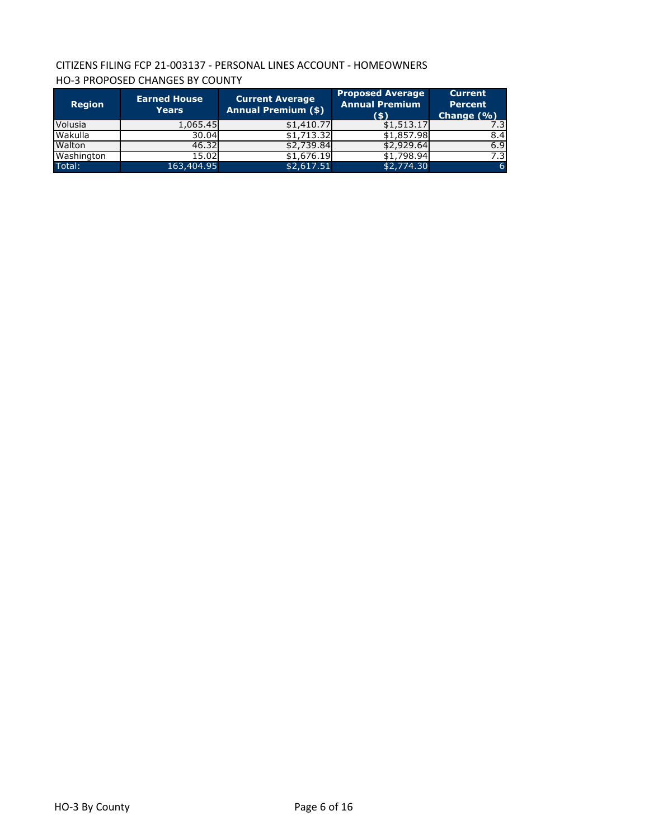# CITIZENS FILING FCP 21-003137 - PERSONAL LINES ACCOUNT - HOMEOWNERS HO-3 PROPOSED CHANGES BY COUNTY

| <b>Region</b> | <b>Earned House</b><br>Years | <b>Current Average</b><br><b>Annual Premium (\$)</b> | <b>Proposed Average</b><br><b>Annual Premium</b><br>(5) | <b>Current</b><br><b>Percent</b><br>Change $(\% )$ |
|---------------|------------------------------|------------------------------------------------------|---------------------------------------------------------|----------------------------------------------------|
| Volusia       | 1,065.45                     | \$1,410.77                                           | \$1,513.17                                              |                                                    |
| Wakulla       | 30.04                        | \$1,713.32                                           | \$1,857.98                                              | 8.4                                                |
| Walton        | 46.32                        | \$2,739.84                                           | \$2,929.64                                              | 6.9                                                |
| Washington    | 15.02                        | \$1,676.19                                           | \$1,798.94                                              | 7.3                                                |
| Total:        | 163,404.95                   | \$2,617.51                                           | \$2,774.30                                              | <sup>6</sup>                                       |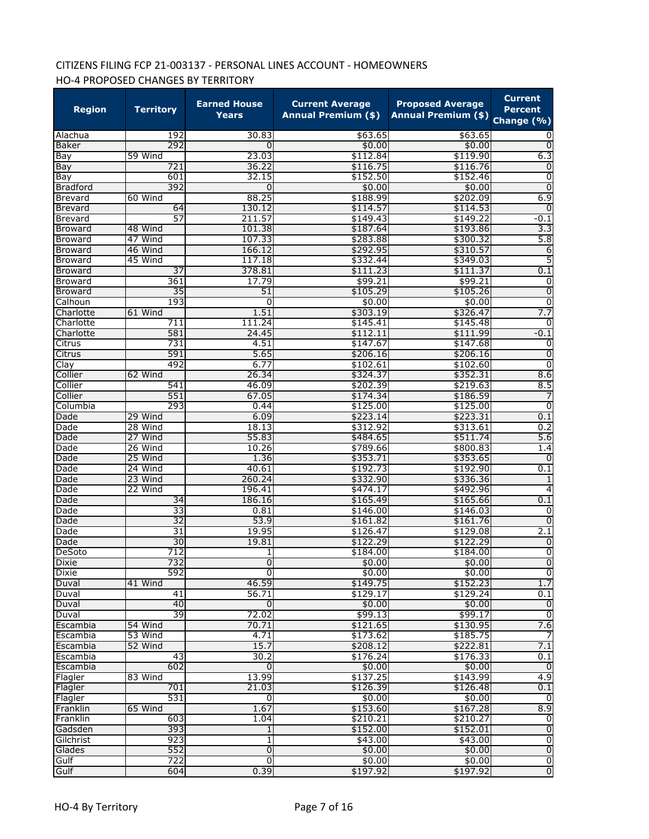# CITIZENS FILING FCP 21-003137 - PERSONAL LINES ACCOUNT - HOMEOWNERS HO-4 PROPOSED CHANGES BY TERRITORY

| <b>Region</b>   | <b>Territory</b> | <b>Earned House</b><br>Years | <b>Current Average</b><br><b>Annual Premium (\$)</b> | <b>Proposed Average</b><br>Annual Premium (\$) Change (%) | <b>Current</b><br><b>Percent</b> |
|-----------------|------------------|------------------------------|------------------------------------------------------|-----------------------------------------------------------|----------------------------------|
| Alachua         | 192              | 30.83                        | \$63.65                                              | \$63.65                                                   |                                  |
| Baker           | 292              | 0                            | \$0.00                                               | \$0.00                                                    | $\mathbf 0$                      |
| Bay             | 59 Wind          | 23.03                        | \$112.84                                             | \$119.90                                                  | 6.3                              |
| Bay             | 721              | 36.22                        | \$116.75                                             | \$116.76                                                  | $\mathbf 0$                      |
| Bay             | 601              | 32.15                        | \$152.50                                             | \$152.46                                                  | 0                                |
| <b>Bradford</b> | 392              | $\mathbf 0$                  | \$0.00                                               | \$0.00                                                    | $\overline{0}$                   |
| <b>Brevard</b>  | 60 Wind          | 88.25                        | \$188.99                                             | \$202.09                                                  | 6.9                              |
| <b>Brevard</b>  | 64               | 130.12                       | \$114.57                                             | \$114.53                                                  | $\mathbf 0$                      |
| <b>Brevard</b>  | 57               | 211.57                       | \$149.43                                             | \$149.22                                                  | $-0.1$                           |
| <b>Broward</b>  | 48 Wind          | 101.38                       | \$187.64                                             | \$193.86                                                  | 3.3                              |
| Broward         | 47 Wind          | 107.33                       | \$283.88                                             | \$300.32                                                  | 5.8                              |
| <b>Broward</b>  | 46 Wind          | 166.12                       | \$292.95                                             | \$310.57                                                  | 6                                |
| <b>Broward</b>  | 45 Wind          | 117.18                       | \$332.44                                             | \$349.03                                                  | 5                                |
| <b>Broward</b>  | $\overline{37}$  | 378.81                       | \$111.23                                             | \$111.37                                                  | 0.1                              |
| <b>Broward</b>  | 361              | 17.79                        | \$99.21                                              | \$99.21                                                   | 0                                |
| <b>Broward</b>  | $\overline{35}$  | 51                           | \$105.29                                             | \$105.26                                                  | 0                                |
| Calhoun         | 193              | 0                            | \$0.00                                               | \$0.00                                                    | $\overline{0}$                   |
| Charlotte       | 61 Wind          | 1.51                         | \$303.19                                             | \$326.47                                                  | 7.7                              |
| Charlotte       | 711              | 111.24                       | \$145.41                                             | \$145.48                                                  | 0                                |
| Charlotte       | 581              | 24.45                        | \$112.11                                             | \$111.99                                                  | $-0.1$                           |
| Citrus          | 731              | 4.51                         | \$147.67                                             | \$147.68                                                  | 0                                |
| Citrus          | 591              | 5.65                         | \$206.16                                             | \$206.16                                                  | $\overline{0}$                   |
| Clay            | 492              | 6.77                         | \$102.61                                             | \$102.60                                                  | 0                                |
| Collier         | 62 Wind          | 26.34                        | \$324.37                                             | \$352.31                                                  | 8.6                              |
| Collier         | 541              | 46.09                        | \$202.39                                             | \$219.63                                                  | 8.5                              |
| Collier         | 551              | 67.05                        | \$174.34                                             | \$186.59                                                  |                                  |
| Columbia        | 293              | 0.44                         | \$125.00                                             | \$125.00                                                  | 0                                |
| Dade            | 29 Wind          | 6.09                         | \$223.14                                             | \$223.31                                                  | 0.1                              |
| Dade            | 28 Wind          | 18.13                        | \$312.92                                             | \$313.61                                                  | 0.2                              |
| Dade            | 27 Wind          | 55.83                        | \$484.65                                             | \$511.74                                                  | 5.6                              |
| Dade            | 26 Wind          | 10.26                        | \$789.66                                             | \$800.83                                                  | 1.4                              |
| Dade            | 25 Wind          | 1.36                         | \$353.71                                             | \$353.65                                                  | $\Omega$                         |
| Dade            | 24 Wind          | 40.61                        | \$192.73                                             | \$192.90                                                  | 0.1                              |
| Dade            | 23 Wind          | 260.24                       | \$332.90                                             | \$336.36                                                  | 1                                |
| Dade            | 22 Wind          | 196.41                       | \$474.17                                             | \$492.96                                                  | 4                                |
| Dade            | 34               | 186.16                       | \$165.49                                             | \$165.66                                                  | 0.1                              |
| Dade            | 33               | 0.81                         | \$146.00                                             | \$146.03                                                  | 0                                |
| Dade            | $\overline{32}$  | 53.9                         | \$161.82                                             | \$161.76                                                  | $\mathbf 0$                      |
| Dade            | 31               | 19.95                        | \$126.47                                             | \$129.08                                                  | 2.1                              |
| Dade            | 30               | 19.81                        | \$122.29                                             | \$122.29                                                  | 0                                |
| DeSoto          | 712              | 1                            | \$184.00                                             | \$184.00                                                  | 0                                |
| Dixie           | 732              | $\overline{0}$               | \$0.00                                               | \$0.00                                                    | ᅇ                                |
| <b>Dixie</b>    | 592              | Ō                            | \$0.00                                               | \$0.00                                                    |                                  |
| Duval           | 41 Wind          | 46.59                        | \$149.75                                             | \$152.23                                                  | 1.7                              |
| Duval           | 41               | 56.71                        | \$129.17                                             | \$129.24                                                  | 0.1                              |
| Duval           | 40               | Ō                            | \$0.00                                               | \$0.00                                                    | O                                |
| Duval           | 39               | 72.02                        | \$99.13                                              | \$99.17                                                   | ō                                |
| Escambia        | 54 Wind          | 70.71                        | \$121.65                                             | \$130.95                                                  | 7.6                              |
| Escambia        | 53 Wind          | 4.71                         | \$173.62                                             | \$185.75                                                  | -7                               |
| Escambia        | 52 Wind          | 15.7                         | \$208.12                                             | \$222.81                                                  | 7.1                              |
| Escambia        | 43               | 30.2                         | \$176.24                                             | \$176.33                                                  | 0.1                              |
| Escambia        | 602              | $\mathbf 0$                  | \$0.00                                               | \$0.00                                                    | Ō                                |
| Flagler         | 83 Wind          | 13.99                        | \$137.25                                             | \$143.99                                                  | 4.9                              |
| Flagler         | 701              | 21.03                        | \$126.39                                             | \$126.48                                                  | 0.1                              |
| Flagler         | 531              | 0                            | \$0.00                                               | \$0.00                                                    | 0                                |
| Franklin        | 65 Wind          | 1.67                         | \$153.60                                             | \$167.28                                                  | 8.9                              |
| Franklin        | 603              | 1.04                         | \$210.21                                             | \$210.27                                                  | $\overline{0}$                   |
| Gadsden         | 393              | $\overline{1}$               | \$152.00                                             | \$152.01                                                  | $\overline{0}$                   |
| Gilchrist       | 923              | $1\overline{ }$              | \$43.00                                              | \$43.00                                                   | 0                                |
| Glades          | 552              | $\mathbf{0}$                 | \$0.00                                               | \$0.00                                                    | $\overline{0}$                   |
| Gulf            | 722              | ō                            | \$0.00                                               | \$0.00                                                    | $\overline{0}$                   |
| Gulf            | 604              | 0.39                         | \$197.92                                             | \$197.92                                                  | $\overline{0}$                   |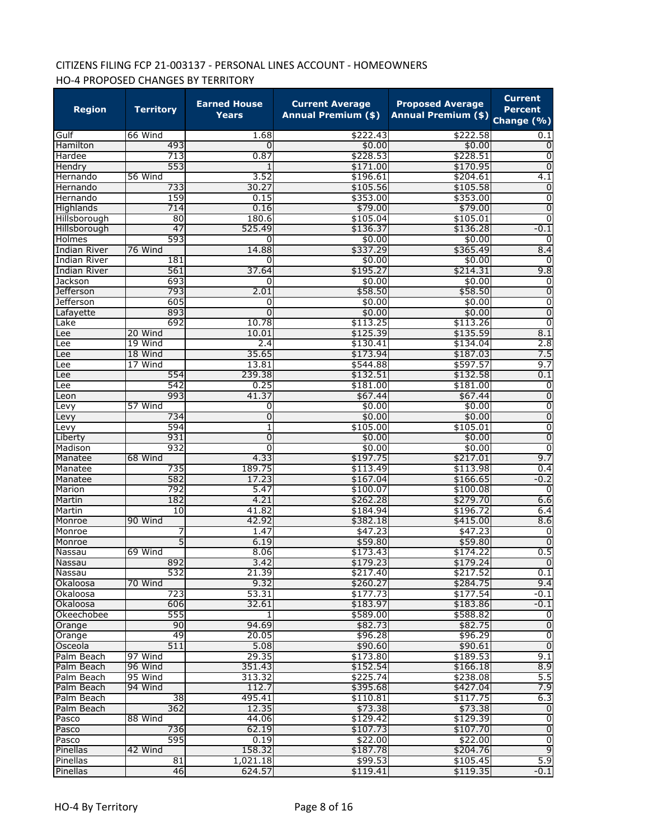# CITIZENS FILING FCP 21-003137 - PERSONAL LINES ACCOUNT - HOMEOWNERS HO-4 PROPOSED CHANGES BY TERRITORY

| <b>Region</b>          | <b>Territory</b> | <b>Earned House</b><br>Years | <b>Current Average</b><br><b>Annual Premium (\$)</b> | <b>Proposed Average</b><br>Annual Premium (\$) Change (%) | <b>Current</b><br><b>Percent</b> |
|------------------------|------------------|------------------------------|------------------------------------------------------|-----------------------------------------------------------|----------------------------------|
| Gulf                   | 66 Wind          | 1.68                         | \$222.43                                             | \$222.58                                                  | 0.1                              |
| Hamilton               | 493              | 0                            | \$0.00                                               | \$0.00                                                    | 0                                |
| Hardee                 | 713              | 0.87                         | \$228.53                                             | \$228.51                                                  | 0                                |
| Hendry                 | 553              | 1                            | \$171.00                                             | \$170.95                                                  | $\mathbf 0$                      |
| Hernando               | 56 Wind          | 3.52                         | \$196.61                                             | \$204.61                                                  | 4.1                              |
| Hernando               | 733              | 30.27                        | \$105.56                                             | \$105.58                                                  | $\overline{0}$                   |
| Hernando               | 159              | 0.15                         | \$353.00                                             | \$353.00                                                  | $\overline{0}$                   |
| Highlands              | 714              | 0.16                         | \$79.00                                              | \$79.00                                                   | $\overline{0}$                   |
| Hillsborough           | 80               | 180.6                        | \$105.04                                             | \$105.01                                                  | $\overline{0}$                   |
| Hillsborough<br>Holmes | 47<br>593        | 525.49<br>0                  | \$136.37<br>\$0.00                                   | \$136.28<br>\$0.00                                        | $-0.1$<br>0                      |
| <b>Indian River</b>    | 76 Wind          | 14.88                        | \$337.29                                             | \$365.49                                                  | 8.4                              |
| Indian River           | 181              | 0                            | \$0.00                                               | \$0.00                                                    | 0                                |
| <b>Indian River</b>    | 561              | 37.64                        | \$195.27                                             | \$214.31                                                  | 9.8                              |
| Jackson                | 693              | 0                            | \$0.00                                               | \$0.00                                                    | 0                                |
| Jefferson              | 793              | 2.01                         | \$58.50                                              | \$58.50                                                   | $\overline{0}$                   |
| <b>Jefferson</b>       | 605              | 0                            | \$0.00                                               | \$0.00                                                    | $\overline{0}$                   |
| Lafayette              | 893              | 0                            | \$0.00                                               | \$0.00                                                    | $\overline{0}$                   |
| Lake                   | 692              | 10.78                        | \$113.25                                             | \$113.26                                                  | $\overline{0}$                   |
| Lee                    | 20 Wind          | 10.01                        | \$125.39                                             | \$135.59                                                  | 8.1                              |
| Lee                    | 19 Wind          | 2.4                          | \$130.41                                             | \$134.04                                                  | 2.8                              |
| Lee                    | 18 Wind          | 35.65                        | \$173.94                                             | \$187.03                                                  | 7.5                              |
| Lee                    | 17 Wind          | 13.81                        | \$544.88                                             | \$597.57                                                  | 9.7                              |
| Lee                    | 554              | 239.38                       | \$132.51                                             | \$132.58                                                  | 0.1                              |
| Lee                    | 542              | 0.25                         | \$181.00                                             | \$181.00                                                  | 0                                |
| Leon                   | 993              | 41.37                        | \$67.44                                              | \$67.44                                                   | $\overline{0}$                   |
| Levy                   | 57 Wind          | 0                            | \$0.00                                               | \$0.00                                                    | $\overline{0}$                   |
| Levy                   | 734              | 0                            | \$0.00                                               | \$0.00                                                    | $\overline{0}$                   |
| Levy                   | 594              | 1                            | \$105.00                                             | \$105.01                                                  | $\overline{0}$                   |
| Liberty                | 931              | 0                            | \$0.00                                               | \$0.00                                                    | $\overline{0}$                   |
| Madison                | 932              | $\overline{0}$               | \$0.00                                               | \$0.00                                                    | $\overline{0}$                   |
| Manatee                | 68 Wind          | 4.33                         | \$197.75                                             | \$217.01                                                  | 9.7                              |
| Manatee                | 735              | 189.75                       | \$113.49                                             | \$113.98                                                  | 0.4<br>$-0.2$                    |
| Manatee<br>Marion      | 582<br>792       | 17.23<br>5.47                | \$167.04<br>\$100.07                                 | \$166.65<br>\$100.08                                      | $\Omega$                         |
| Martin                 | 182              | 4.21                         | \$262.28                                             | \$279.70                                                  | 6.6                              |
| Martin                 | 10               | 41.82                        | \$184.94                                             | \$196.72                                                  | 6.4                              |
| Monroe                 | 90 Wind          | 42.92                        | \$382.18                                             | \$415.00                                                  | 8.6                              |
| Monroe                 |                  | 1.47                         | \$47.23                                              | \$47.23                                                   | 0                                |
| Monroe                 | 5                | 6.19                         | \$59.80                                              | \$59.80                                                   | $\overline{0}$                   |
| Nassau                 | 69 Wind          | 8.06                         | \$173.43                                             | \$174.22                                                  | 0.5                              |
| Nassau                 | 892              | 3.42                         | \$179.23                                             | \$179.24                                                  | $\overline{0}$                   |
| Nassau                 | 532              | 21.39                        | \$217.40                                             | \$217.52                                                  | 0.1                              |
| Okaloosa               | 70 Wind          | 9.32                         | \$260.27                                             | \$284.75                                                  | 9.4                              |
| Okaloosa               | 723              | 53.31                        | \$177.73                                             | \$177.54                                                  | $-0.1$                           |
| Okaloosa               | 606              | 32.61                        | \$183.97                                             | \$183.86                                                  | $-0.1$                           |
| Okeechobee             | 555              | $\mathbf{1}$                 | \$589.00                                             | \$588.82                                                  | 0                                |
| Orange                 | 90               | 94.69                        | \$82.73                                              | \$82.75                                                   | $\overline{0}$                   |
| Orange                 | 49               | 20.05                        | \$96.28                                              | \$96.29                                                   | $\overline{0}$                   |
| Osceola                | 511              | 5.08                         | \$90.60                                              | \$90.61                                                   | $\overline{0}$                   |
| Palm Beach             | 97 Wind          | 29.35                        | \$173.80                                             | \$189.53                                                  | 9.1                              |
| Palm Beach             | 96 Wind          | 351.43                       | \$152.54                                             | \$166.18                                                  | 8.9                              |
| Palm Beach             | 95 Wind          | 313.32                       | \$225.74                                             | \$238.08                                                  | 5.5                              |
| Palm Beach             | 94 Wind          | 112.7                        | \$395.68                                             | \$427.04                                                  | 7.9                              |
| Palm Beach             | 38               | 495.41                       | \$110.81                                             | \$117.75                                                  | 6.3                              |
| Palm Beach             | 362              | 12.35                        | \$73.38                                              | \$73.38                                                   | $\mathbf 0$                      |
| Pasco                  | 88 Wind          | 44.06                        | \$129.42                                             | \$129.39                                                  | O                                |
| Pasco                  | 736              | 62.19                        | \$107.73                                             | \$107.70                                                  | $\overline{0}$                   |
| Pasco                  | 595              | 0.19                         | \$22.00                                              | \$22.00                                                   | $\overline{0}$<br>$\overline{9}$ |
| Pinellas               | 42 Wind<br>81    | 158.32                       | \$187.78                                             | \$204.76                                                  | 5.9                              |
| Pinellas               | 46               | 1,021.18<br>624.57           | \$99.53                                              | \$105.45                                                  | $-0.1$                           |
| Pinellas               |                  |                              | \$119.41                                             | \$119.35                                                  |                                  |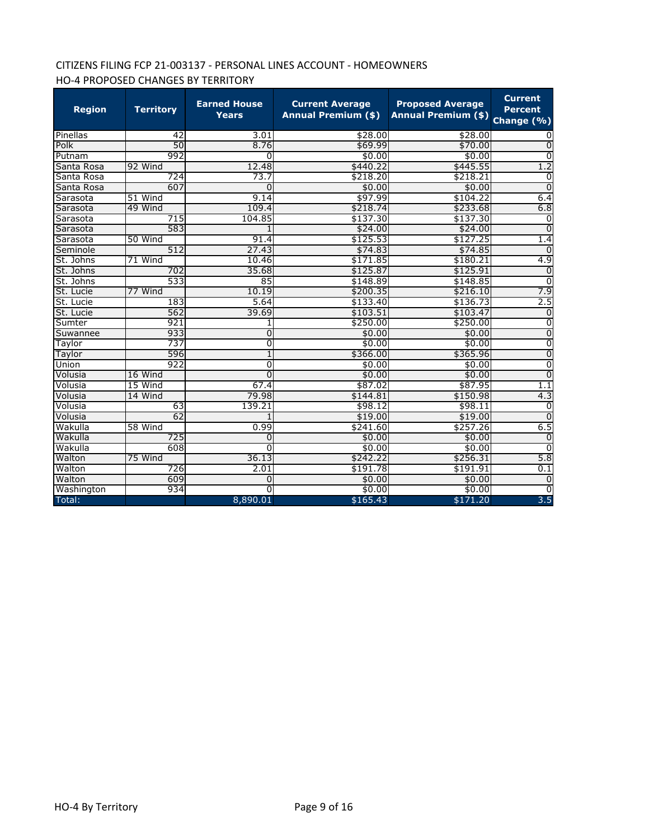# CITIZENS FILING FCP 21-003137 - PERSONAL LINES ACCOUNT - HOMEOWNERS HO-4 PROPOSED CHANGES BY TERRITORY

| <b>Region</b> | <b>Territory</b> | <b>Earned House</b><br><b>Years</b> | <b>Current Average</b><br><b>Annual Premium (\$)</b> | <b>Proposed Average</b><br><b>Annual Premium (\$)</b> | <b>Current</b><br><b>Percent</b><br>Change (%) |
|---------------|------------------|-------------------------------------|------------------------------------------------------|-------------------------------------------------------|------------------------------------------------|
| Pinellas      | 42               | 3.01                                | \$28.00                                              | \$28.00                                               |                                                |
| Polk          | 50               | 8.76                                | \$69.99                                              | \$70.00                                               | $\overline{0}$                                 |
| Putnam        | 992              | 0                                   | \$0.00                                               | \$0.00                                                | $\Omega$                                       |
| Santa Rosa    | 92 Wind          | 12.48                               | \$440.22                                             | \$445.55                                              | 1.2                                            |
| Santa Rosa    | 724              | 73.7                                | \$218.20                                             | \$218.21                                              | $\overline{0}$                                 |
| Santa Rosa    | 607              | $\Omega$                            | \$0.00                                               | \$0.00                                                | $\overline{0}$                                 |
| Sarasota      | 51 Wind          | 9.14                                | \$97.99                                              | \$104.22                                              | 6.4                                            |
| Sarasota      | 49 Wind          | 109.4                               | \$218.74                                             | \$233.68                                              | 6.8                                            |
| Sarasota      | 715              | 104.85                              | \$137.30                                             | \$137.30                                              | $\Omega$                                       |
| Sarasota      | 583              | 1                                   | \$24.00                                              | \$24.00                                               | $\Omega$                                       |
| Sarasota      | 50 Wind          | 91.4                                | \$125.53                                             | \$127.25                                              | 1.4                                            |
| Seminole      | 512              | 27.43                               | \$74.83                                              | \$74.85                                               | $\Omega$                                       |
| St. Johns     | 71 Wind          | 10.46                               | \$171.85                                             | \$180.21                                              | 4.9                                            |
| St. Johns     | 702              | 35.68                               | \$125.87                                             | \$125.91                                              | $\mathbf 0$                                    |
| St. Johns     | 533              | 85                                  | \$148.89                                             | \$148.85                                              | $\overline{0}$                                 |
| St. Lucie     | 77 Wind          | 10.19                               | \$200.35                                             | \$216.10                                              | 7.9                                            |
| St. Lucie     | 183              | 5.64                                | \$133.40                                             | \$136.73                                              | 2.5                                            |
| St. Lucie     | 562              | 39.69                               | \$103.51                                             | \$103.47                                              | $\overline{0}$                                 |
| Sumter        | 921              | 1                                   | \$250.00                                             | \$250.00                                              | $\overline{0}$                                 |
| Suwannee      | 933              | $\overline{0}$                      | \$0.00                                               | \$0.00                                                | $\overline{0}$                                 |
| Taylor        | 737              | 0                                   | \$0.00                                               | \$0.00                                                | $\overline{0}$                                 |
| Taylor        | 596              | 1                                   | \$366.00                                             | \$365.96                                              | $\overline{0}$                                 |
| Union         | 922              | 0                                   | \$0.00                                               | \$0.00                                                | $\overline{0}$                                 |
| Volusia       | 16 Wind          | 0                                   | \$0.00                                               | \$0.00                                                | $\overline{0}$                                 |
| Volusia       | 15 Wind          | 67.4                                | \$87.02                                              | \$87.95                                               | 1.1                                            |
| Volusia       | 14 Wind          | 79.98                               | \$144.81                                             | \$150.98                                              | 4.3                                            |
| Volusia       | 63               | 139.21                              | \$98.12                                              | \$98.11                                               | 0                                              |
| Volusia       | 62               |                                     | \$19.00                                              | \$19.00                                               | $\overline{0}$                                 |
| Wakulla       | 58 Wind          | 0.99                                | \$241.60                                             | \$257.26                                              | 6.5                                            |
| Wakulla       | 725              | 0                                   | \$0.00                                               | \$0.00                                                | $\Omega$                                       |
| Wakulla       | 608              | 0                                   | \$0.00                                               | \$0.00                                                | $\overline{0}$                                 |
| Walton        | 75 Wind          | 36.13                               | \$242.22                                             | \$256.31                                              | 5.8                                            |
| Walton        | 726              | 2.01                                | \$191.78                                             | \$191.91                                              | 0.1                                            |
| Walton        | 609              | 0                                   | \$0.00                                               | \$0.00                                                | $\overline{0}$                                 |
| Washington    | 934              | $\overline{0}$                      | \$0.00                                               | \$0.00                                                | $\overline{0}$                                 |
| Total:        |                  | 8,890.01                            | \$165.43                                             | \$171.20                                              | 3.5                                            |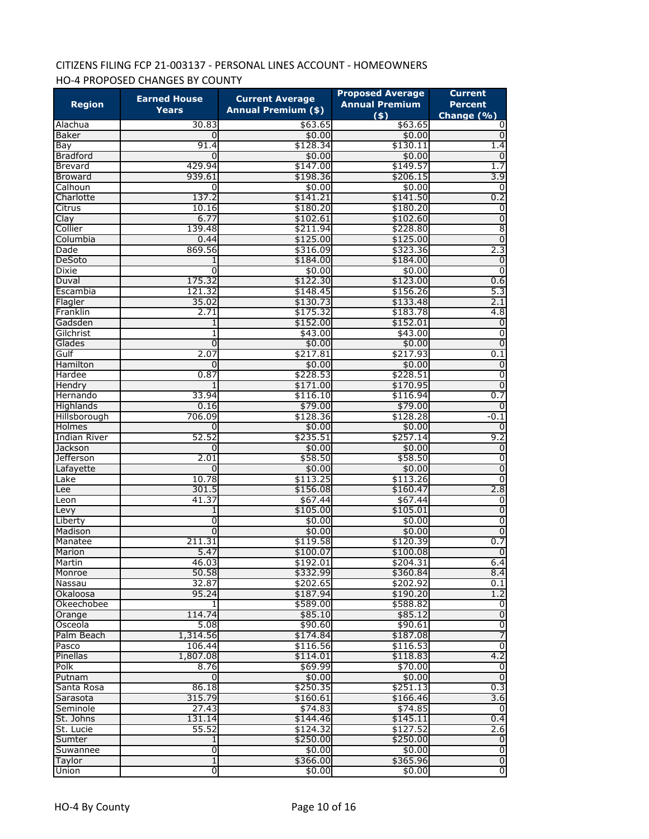# CITIZENS FILING FCP 21-003137 - PERSONAL LINES ACCOUNT - HOMEOWNERS HO-4 PROPOSED CHANGES BY COUNTY

|                      | <b>Earned House</b> | <b>Current Average</b>     | <b>Proposed Average</b>      | <b>Current</b>                   |
|----------------------|---------------------|----------------------------|------------------------------|----------------------------------|
| <b>Region</b>        | Years               | <b>Annual Premium (\$)</b> | <b>Annual Premium</b><br>(5) | <b>Percent</b><br>Change (%)     |
| Alachua              | 30.83               | \$63.65                    | \$63.65                      | 0                                |
| Baker                | 0                   | \$0.00                     | \$0.00                       | Ō                                |
| Bay                  | 91.4                | \$128.34                   | \$130.11                     | 1.4                              |
| <b>Bradford</b>      | 0                   | \$0.00                     | \$0.00                       | $\overline{0}$                   |
| <b>Brevard</b>       | 429.94              | \$147.00                   | \$149.57                     | 1.7                              |
| <b>Broward</b>       | 939.61              | \$198.36                   | \$206.15                     | 3.9                              |
| Calhoun              | $\overline{0}$      | \$0.00                     | \$0.00                       | $\overline{0}$                   |
| Charlotte            | 137.2               | \$141.21                   | \$141.50                     | 0.2                              |
| Citrus               | 10.16               | \$180.20                   | \$180.20                     | $\overline{0}$                   |
| Clay                 | 6.77                | \$102.61                   | \$102.60                     | $\overline{0}$                   |
| Collier              | 139.48              | \$211.94                   | \$228.80                     | 8                                |
| Columbia             | 0.44                | \$125.00                   | \$125.00                     | $\overline{0}$                   |
| Dade                 | 869.56              | \$316.09                   | \$323.36                     | 2.3                              |
| DeSoto               | 1                   | \$184.00                   | \$184.00                     | $\overline{0}$                   |
| <b>Dixie</b>         | 0                   | \$0.00                     | \$0.00                       | $\overline{0}$                   |
| Duval                | 175.32              | \$122.30                   | \$123.00                     | 0.6                              |
| Escambia             | 121.32              | \$148.45                   | \$156.26                     | 5.3                              |
| Flagler              | 35.02               | \$130.73                   | \$133.48                     | 2.1                              |
| Franklin             | 2.71                | \$175.32<br>\$152.00       | \$183.78                     | 4.8                              |
| Gadsden<br>Gilchrist | 1                   |                            | \$152.01<br>\$43.00          | $\mathbf 0$                      |
|                      | 1<br>0              | \$43.00                    |                              | $\overline{0}$<br>$\overline{0}$ |
| Glades<br>Gulf       | 2.07                | \$0.00<br>\$217.81         | \$0.00<br>\$217.93           | 0.1                              |
| Hamilton             | 0                   | \$0.00                     | \$0.00                       | $\overline{0}$                   |
| Hardee               | 0.87                | \$228.53                   | \$228.51                     | $\overline{0}$                   |
| Hendry               |                     | \$171.00                   | \$170.95                     | $\overline{0}$                   |
| Hernando             | 33.94               | \$116.10                   | \$116.94                     | 0.7                              |
| Highlands            | 0.16                | \$79.00                    | \$79.00                      | $\overline{0}$                   |
| Hillsborough         | 706.09              | \$128.36                   | \$128.28                     | $-0.1$                           |
| Holmes               | 0                   | \$0.00                     | \$0.00                       | $\overline{0}$                   |
| <b>Indian River</b>  | 52.52               | \$235.51                   | \$257.14                     | 9.2                              |
| Jackson              | 0                   | \$0.00                     | \$0.00                       | $\overline{0}$                   |
| Jefferson            | 2.01                | \$58.50                    | \$58.50                      | $\overline{0}$                   |
| Lafayette            | 0                   | \$0.00                     | \$0.00                       | $\overline{0}$                   |
| Lake                 | 10.78               | \$113.25                   | \$113.26                     | $\overline{0}$                   |
| Lee                  | 301.5               | \$156.08                   | \$160.47                     | 2.8                              |
| Leon                 | 41.37               | \$67.44                    | \$67.44                      | 0                                |
| Levy                 | 1                   | \$105.00                   | \$105.01                     | $\overline{0}$                   |
| Liberty              | 0                   | \$0.00                     | \$0.00                       | $\overline{0}$                   |
| Madison              | $\overline{0}$      | \$0.00                     | \$0.00                       | $\overline{0}$                   |
| Manatee              | 211.31              | \$119.58                   | \$120.39                     | 0.7                              |
| Marion               | 5.47                | \$100.07                   | \$100.08                     | $\overline{0}$                   |
| Martin               | 46.03               | \$192.01                   | \$204.31                     | 6.4                              |
| Monroe               | 50.58               | \$332.99                   | \$360.84                     | 8.4                              |
| Nassau               | 32.87               | \$202.65                   | \$202.92                     | 0.1                              |
| Okaloosa             | 95.24               | \$187.94                   | \$190.20                     | $\overline{1.2}$                 |
| Okeechobee           |                     | \$589.00                   | \$588.82                     | 0                                |
| Orange               | 114.74              | \$85.10                    | \$85.12                      | $\overline{0}$                   |
| Osceola              | 5.08                | \$90.60                    | \$90.61                      | o                                |
| Palm Beach           | 1,314.56            | \$174.84                   | \$187.08                     | 7                                |
| Pasco                | 106.44              | \$116.56                   | \$116.53                     | $\overline{0}$                   |
| Pinellas             | 1,807.08            | \$114.01                   | \$118.83                     | 4.2                              |
| Polk                 | 8.76                | \$69.99                    | \$70.00                      | o                                |
| Putnam               | 0                   | \$0.00                     | \$0.00                       | $\overline{0}$                   |
| Santa Rosa           | 86.18               | \$250.35                   | \$251.13                     | 0.3                              |
| Sarasota             | 315.79              | \$160.61                   | \$166.46                     | 3.6                              |
| Seminole             | 27.43               | \$74.83                    | \$74.85                      | 0                                |
| St. Johns            | 131.14              | \$144.46                   | \$145.11                     | 0.4                              |
| St. Lucie            | 55.52               | \$124.32                   | \$127.52                     | 2.6                              |
| Sumter               | 1                   | \$250.00                   | \$250.00                     | $\overline{0}$                   |
| Suwannee             | 0                   | \$0.00                     | \$0.00                       | $\overline{0}$                   |
| Taylor               | 1                   | \$366.00                   | \$365.96                     | $\overline{0}$                   |
| Union                | O                   | \$0.00                     | \$0.00                       | $\overline{0}$                   |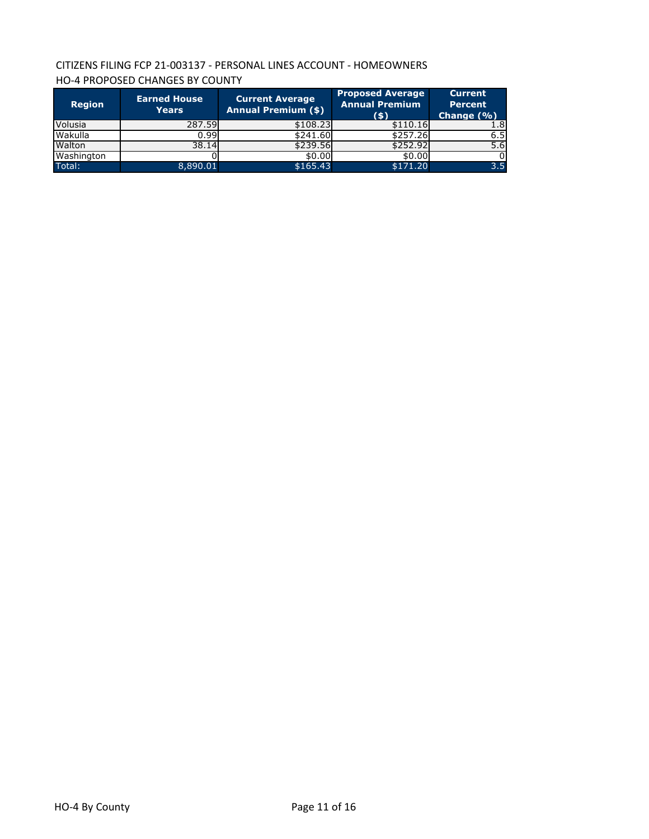# CITIZENS FILING FCP 21-003137 - PERSONAL LINES ACCOUNT - HOMEOWNERS HO-4 PROPOSED CHANGES BY COUNTY

| <b>Region</b> | <b>Earned House</b><br><b>Years</b> | <b>Current Average</b><br><b>Annual Premium (\$)</b> | <b>Proposed Average</b><br><b>Annual Premium</b><br>(5) | <b>Current</b><br><b>Percent</b><br>Change $(\% )$ |
|---------------|-------------------------------------|------------------------------------------------------|---------------------------------------------------------|----------------------------------------------------|
| Volusia       | 287.59                              | \$108.23                                             | \$110.16                                                | 1.8                                                |
| Wakulla       | 0.99                                | \$241.60                                             | \$257.26                                                | 6.5                                                |
| Walton        | 38.14                               | \$239.56                                             | \$252.92                                                | 5.6                                                |
| Washington    |                                     | \$0.00                                               | \$0.00                                                  |                                                    |
| Total:        | 8,890.01                            | \$165.43                                             | \$171.20                                                | 3.5                                                |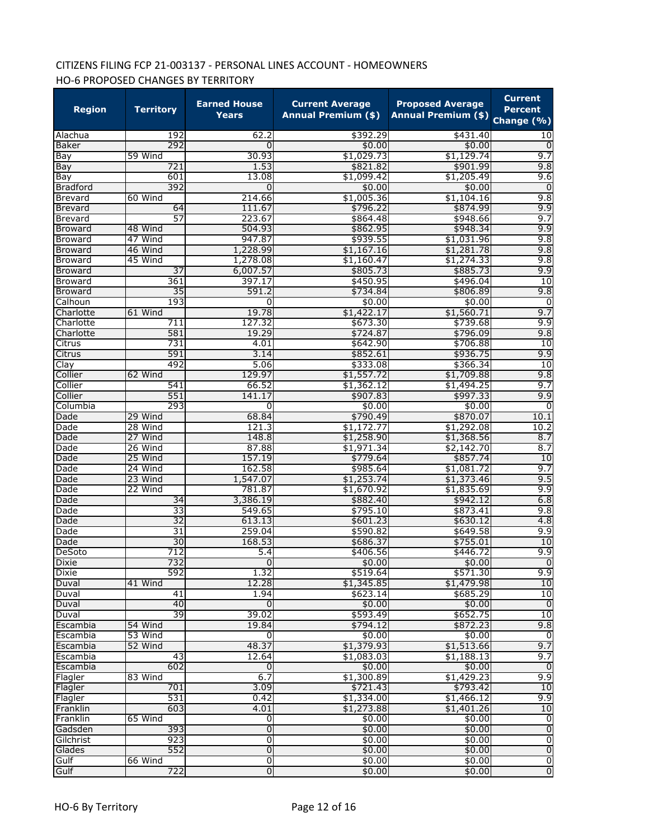# CITIZENS FILING FCP 21-003137 - PERSONAL LINES ACCOUNT - HOMEOWNERS HO-6 PROPOSED CHANGES BY TERRITORY

| <b>Region</b>   | <b>Territory</b> | <b>Earned House</b><br><b>Years</b> | <b>Current Average</b><br><b>Annual Premium (\$)</b> | <b>Proposed Average</b><br><b>Annual Premium (\$)</b> | <b>Current</b><br><b>Percent</b><br>Change (%) |
|-----------------|------------------|-------------------------------------|------------------------------------------------------|-------------------------------------------------------|------------------------------------------------|
| Alachua         | 192              | 62.2                                | \$392.29                                             | \$431.40                                              | 10                                             |
| Baker           | 292              | $\Omega$                            | \$0.00                                               | \$0.00                                                | $\mathbf 0$                                    |
| Bay             | 59 Wind          | 30.93                               | \$1,029.73                                           | \$1,129.74                                            | 9.7                                            |
| Bay             | 721              | 1.53                                | \$821.82                                             | \$901.99                                              | 9.8                                            |
| Bay             | 601              | 13.08                               | \$1,099.42                                           | \$1,205.49                                            | 9.6                                            |
| <b>Bradford</b> | 392              | 0                                   | \$0.00                                               | \$0.00                                                | 0                                              |
| <b>Brevard</b>  | 60 Wind          | 214.66                              | \$1,005.36                                           | \$1,104.16                                            | 9.8                                            |
| Brevard         | 64               | 111.67                              | \$796.22                                             | \$874.99                                              | 9.9                                            |
| <b>Brevard</b>  | 57               | 223.67                              | \$864.48                                             | \$948.66                                              | 9.7                                            |
| <b>Broward</b>  | 48 Wind          | 504.93                              | \$862.95                                             | \$948.34                                              | 9.9                                            |
| Broward         | 47 Wind          | 947.87                              | \$939.55                                             | \$1,031.96                                            | 9.8                                            |
| <b>Broward</b>  | 46 Wind          | 1,228.99                            | \$1,167.16                                           | \$1,281.78                                            | 9.8                                            |
| <b>Broward</b>  | 45 Wind          | 1,278.08                            | \$1,160.47                                           | \$1,274.33                                            | 9.8                                            |
| <b>Broward</b>  | $\overline{37}$  | 6,007.57                            | \$805.73                                             | \$885.73                                              | 9.9                                            |
| <b>Broward</b>  | 361              | 397.17                              | \$450.95                                             | \$496.04                                              | 10                                             |
| <b>Broward</b>  | 35               | 591.2                               | \$734.84                                             | \$806.89                                              | 9.8                                            |
| Calhoun         | 193              | 0                                   | \$0.00                                               | \$0.00                                                | 0                                              |
| Charlotte       | 61 Wind          | 19.78                               | \$1,422.17                                           | \$1,560.71                                            | 9.7                                            |
| Charlotte       | 711              | 127.32                              | \$673.30                                             | \$739.68                                              | 9.9                                            |
| Charlotte       | 581              | 19.29                               | \$724.87                                             | \$796.09                                              | 9.8                                            |
| Citrus          | 731              | 4.01                                | \$642.90                                             | \$706.88                                              | 10                                             |
| Citrus          | 591              | 3.14                                | \$852.61                                             | \$936.75                                              | 9.9                                            |
| Clay            | 492              | 5.06                                | \$333.08                                             | \$366.34                                              | 10                                             |
| Collier         | 62 Wind          | 129.97                              | \$1,557.72                                           | \$1,709.88                                            | 9.8                                            |
| Collier         | 541              | 66.52                               | \$1,362.12                                           | \$1,494.25                                            | 9.7                                            |
| Collier         | 551              | 141.17                              | \$907.83                                             | \$997.33                                              | 9.9                                            |
| Columbia        | 293              | 0                                   | \$0.00                                               | \$0.00                                                | 0                                              |
| Dade            | 29 Wind          | 68.84                               | \$790.49                                             | \$870.07                                              | 10.1                                           |
| Dade            | 28 Wind          | 121.3                               | \$1,172.77                                           | \$1,292.08                                            | 10.2                                           |
| Dade            | 27 Wind          | 148.8                               | \$1,258.90                                           | \$1,368.56                                            | 8.7                                            |
| Dade            | 26 Wind          | 87.88                               | \$1,971.34                                           | \$2,142.70                                            | 8.7                                            |
| Dade            | 25 Wind          | 157.19                              | \$779.64                                             | \$857.74                                              | 10                                             |
| Dade            | 24 Wind          | 162.58                              | \$985.64                                             | \$1,081.72                                            | 9.7                                            |
| Dade            | 23 Wind          | 1,547.07                            | \$1,253.74                                           | \$1,373.46                                            | 9.5                                            |
| Dade            | 22 Wind          | 781.87                              | \$1,670.92                                           | \$1,835.69                                            | 9.9                                            |
| Dade            | $\overline{34}$  | 3,386.19                            | \$882.40                                             | \$942.12                                              | 6.8                                            |
| Dade            | 33               | 549.65                              | \$795.10                                             | \$873.41                                              | 9.8                                            |
| Dade            | $\overline{32}$  | 613.13                              | \$601.23                                             | \$630.12                                              | 4.8                                            |
| Dade            | 31               | 259.04                              | \$590.82                                             | \$649.58                                              | 9.9                                            |
| Dade            | 30               | 168.53                              | \$686.37                                             | \$755.01                                              | 10                                             |
| DeSoto          | 712              | 5.4                                 | \$406.56                                             | \$446.72                                              | 9.9                                            |
| Dixie           | 732              |                                     | \$0.00                                               | \$0.00                                                |                                                |
| <b>Dixie</b>    | 592              | 1.32                                | \$519.64                                             | \$571.30                                              | $\frac{0}{9.9}$                                |
| Duval           | 41 Wind          | 12.28                               | \$1,345.85                                           | \$1,479.98                                            | 10                                             |
| Duval           | 41               | 1.94                                | \$623.14                                             | \$685.29                                              | 10                                             |
| Duval           | 40               | $\overline{0}$                      | \$0.00                                               | \$0.00                                                | $\overline{0}$                                 |
| Duval           | 39               | 39.02                               | \$593.49                                             | \$652.75                                              | 10                                             |
| Escambia        | 54 Wind          | 19.84                               | \$794.12                                             | \$872.23                                              | 9.8                                            |
| Escambia        | 53 Wind          | 0                                   | \$0.00                                               | \$0.00                                                | o                                              |
| Escambia        | 52 Wind          | 48.37                               | \$1,379.93                                           | \$1,513.66                                            | 9.7                                            |
| Escambia        | 43               | 12.64                               | \$1,083.03                                           | \$1,188.13                                            | 9.7                                            |
| Escambia        | 602              | $\overline{0}$                      | \$0.00                                               | \$0.00                                                | $\overline{0}$                                 |
| Flagler         | 83 Wind          | 6.7                                 | \$1,300.89                                           | \$1,429.23                                            | 9.9                                            |
| Flagler         | 701              | 3.09                                | \$721.43                                             | \$793.42                                              | 10                                             |
| Flagler         | 531              | 0.42                                | \$1,334.00                                           | \$1,466.12                                            | 9.9                                            |
| Franklin        | 603              | 4.01                                | \$1,273.88                                           | \$1,401.26                                            | 10                                             |
| Franklin        | 65 Wind          | $\overline{0}$                      | \$0.00                                               | \$0.00                                                | $\overline{0}$                                 |
| Gadsden         | 393              | $\overline{0}$                      | \$0.00                                               | \$0.00                                                | $\overline{0}$                                 |
| Gilchrist       | 923              | 0                                   | \$0.00                                               | \$0.00                                                | $\overline{0}$                                 |
| Glades          | 552              | $\overline{0}$                      | \$0.00                                               | \$0.00                                                | $\overline{0}$                                 |
| Gulf            | 66 Wind          | $\overline{0}$                      | \$0.00                                               | \$0.00                                                | $\overline{0}$                                 |
| Gulf            | 722              | $\overline{0}$                      | \$0.00                                               | \$0.00                                                | $\overline{0}$                                 |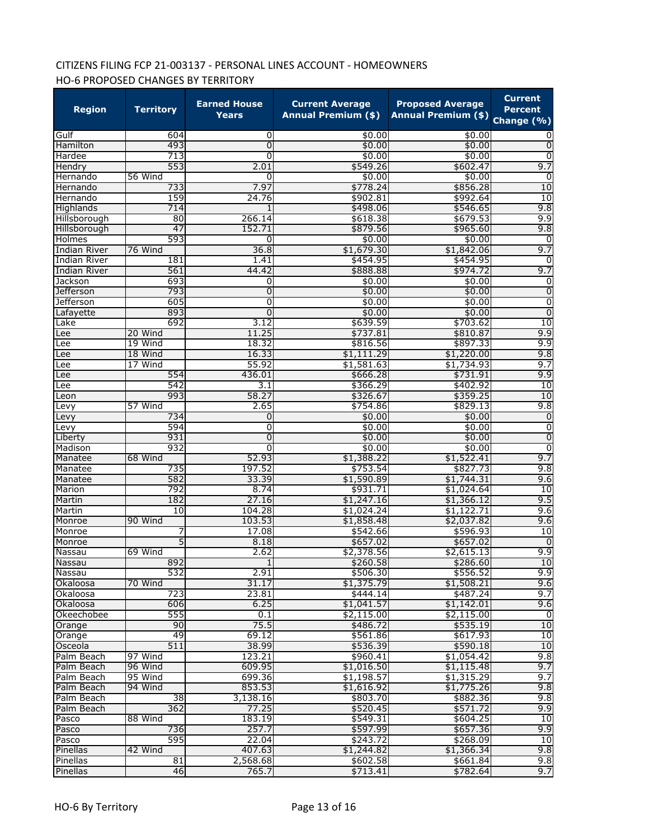# CITIZENS FILING FCP 21-003137 - PERSONAL LINES ACCOUNT - HOMEOWNERS HO-6 PROPOSED CHANGES BY TERRITORY

| <b>Region</b>                 | <b>Territory</b> | <b>Earned House</b><br><b>Years</b> | <b>Current Average</b><br><b>Annual Premium (\$)</b> | <b>Proposed Average</b><br><b>Annual Premium (\$)</b> | <b>Current</b><br><b>Percent</b><br>Change (%) |
|-------------------------------|------------------|-------------------------------------|------------------------------------------------------|-------------------------------------------------------|------------------------------------------------|
| Gulf                          | 604              | 0                                   | \$0.00                                               | \$0.00                                                |                                                |
| Hamilton                      | 493              | $\overline{0}$                      | \$0.00                                               | \$0.00                                                | 0                                              |
| Hardee                        | 713              | $\overline{0}$                      | \$0.00                                               | \$0.00                                                | 0                                              |
| Hendry                        | 553              | 2.01                                | \$549.26                                             | \$602.47                                              | 9.7                                            |
| Hernando                      | 56 Wind          | 0                                   | \$0.00                                               | \$0.00                                                | 0                                              |
| Hernando                      | 733              | 7.97                                | \$778.24                                             | \$856.28                                              | 10                                             |
| Hernando                      | 159              | 24.76                               | \$902.81                                             | \$992.64                                              | 10                                             |
| Highlands                     | 714              |                                     | \$498.06                                             | \$546.65                                              | 9.8                                            |
| Hillsborough                  | 80               | 266.14                              | \$618.38                                             | \$679.53                                              | 9.9                                            |
| Hillsborough                  | 47               | 152.71                              | \$879.56                                             | \$965.60                                              | 9.8                                            |
| Holmes                        | 593              | 0                                   | \$0.00                                               | \$0.00                                                | 0                                              |
| <b>Indian River</b>           | 76 Wind          | 36.8                                | \$1,679.30                                           | \$1,842.06                                            | 9.7                                            |
| <b>Indian River</b>           | 181              | 1.41                                | \$454.95                                             | \$454.95                                              | 0                                              |
| Indian River                  | 561              | 44.42                               | \$888.88                                             | \$974.72                                              | 9.7                                            |
| Jackson                       | 693<br>793       | 0                                   | \$0.00                                               | \$0.00                                                | $\overline{0}$<br>$\overline{0}$               |
| Jefferson<br><b>Jefferson</b> | 605              | 0<br>0                              | \$0.00<br>\$0.00                                     | \$0.00<br>\$0.00                                      | $\overline{0}$                                 |
|                               | 893              | 0                                   | \$0.00                                               | \$0.00                                                | $\overline{0}$                                 |
| Lafayette<br>Lake             | 692              | 3.12                                | \$639.59                                             | \$703.62                                              | 10                                             |
| Lee                           | 20 Wind          | 11.25                               | \$737.81                                             | \$810.87                                              | 9.9                                            |
| Lee                           | 19 Wind          | 18.32                               | \$816.56                                             | \$897.33                                              | 9.9                                            |
| Lee                           | 18 Wind          | 16.33                               | \$1,111.29                                           | \$1,220.00                                            | 9.8                                            |
| Lee                           | 17 Wind          | 55.92                               | \$1,581.63                                           | \$1,734.93                                            | 9.7                                            |
| Lee                           | 554              | 436.01                              | \$666.28                                             | \$731.91                                              | 9.9                                            |
| Lee                           | 542              | 3.1                                 | \$366.29                                             | \$402.92                                              | 10                                             |
| Leon                          | 993              | 58.27                               | \$326.67                                             | \$359.25                                              | 10                                             |
| Levy                          | 57 Wind          | 2.65                                | \$754.86                                             | \$829.13                                              | 9.8                                            |
| Levy                          | 734              | 0                                   | \$0.00                                               | \$0.00                                                | $\overline{0}$                                 |
| Levy                          | 594              | 0                                   | \$0.00                                               | \$0.00                                                | $\overline{0}$                                 |
| Liberty                       | 931              | 0                                   | \$0.00                                               | \$0.00                                                | $\overline{0}$                                 |
| Madison                       | 932              | $\overline{0}$                      | \$0.00                                               | \$0.00                                                | $\overline{0}$                                 |
| Manatee                       | 68 Wind          | 52.93                               | \$1,388.22                                           | \$1,522.41                                            | 9.7                                            |
| Manatee                       | 735              | 197.52                              | \$753.54                                             | \$827.73                                              | 9.8                                            |
| Manatee                       | 582              | 33.39                               | \$1,590.89                                           | \$1,744.31                                            | 9.6                                            |
| Marion                        | 792              | 8.74                                | \$931.71                                             | \$1,024.64                                            | 10                                             |
| Martin                        | 182              | 27.16                               | \$1,247.16                                           | \$1,366.12                                            | 9.5                                            |
| Martin                        | 10               | 104.28                              | \$1,024.24                                           | \$1,122.71                                            | 9.6                                            |
| Monroe                        | 90 Wind          | 103.53                              | \$1,858.48                                           | \$2,037.82                                            | 9.6                                            |
| Monroe                        |                  | 17.08                               | \$542.66                                             | \$596.93                                              | 10                                             |
| Monroe                        | 5                | 8.18                                | \$657.02                                             | \$657.02                                              | 0                                              |
| Nassau                        | 69 Wind          | 2.62                                | \$2,378.56                                           | \$2,615.13                                            | 9.9                                            |
| Nassau                        | 892              | $\overline{1}$                      | \$260.58                                             | \$286.60                                              | 10                                             |
| <b>Nassau</b>                 | 532              | 2.91                                | \$506.30                                             | \$556.52                                              | 9.9                                            |
| Okaloosa                      | 70 Wind          | 31.17                               | \$1,375.79                                           | \$1,508.21                                            | 9.6                                            |
| Okaloosa                      | 723              | 23.81                               | \$444.14                                             | \$487.24                                              | 9.7                                            |
| Okaloosa                      | 606              | 6.25                                | \$1,041.57                                           | \$1,142.01                                            | 9.6                                            |
| Okeechobee                    | 555              | 0.1                                 | \$2,115.00                                           | \$2,115.00                                            | $\overline{0}$                                 |
| Orange                        | 90               | 75.5                                | \$486.72                                             | \$535.19                                              | 10                                             |
| Orange                        | 49               | 69.12                               | \$561.86                                             | \$617.93                                              | 10                                             |
| Osceola                       | 511              | 38.99                               | \$536.39                                             | \$590.18                                              | 10                                             |
| Palm Beach                    | 97 Wind          | 123.21                              | \$960.41                                             | \$1,054.42                                            | 9.8                                            |
| Palm Beach                    | 96 Wind          | 609.95                              | \$1,016.50                                           | \$1,115.48                                            | 9.7                                            |
| Palm Beach                    | 95 Wind          | 699.36                              | \$1,198.57                                           | \$1,315.29                                            | 9.7                                            |
| Palm Beach                    | 94 Wind          | 853.53                              | \$1,616.92                                           | \$1,775.26                                            | 9.8                                            |
| Palm Beach                    | 38<br>362        | 3,138.16<br>77.25                   | \$803.70                                             | \$882.36                                              | 9.8<br>9.9                                     |
| Palm Beach                    |                  |                                     | \$520.45                                             | \$571.72                                              |                                                |
| Pasco                         | 88 Wind          | 183.19                              | \$549.31                                             | \$604.25                                              | 10                                             |
| Pasco                         | 736<br>595       | 257.7<br>22.04                      | \$597.99                                             | \$657.36<br>\$268.09                                  | 9.9<br>10                                      |
| Pasco                         |                  |                                     | \$243.72                                             |                                                       |                                                |
| Pinellas<br>Pinellas          | 42 Wind<br>81    | 407.63<br>2,568.68                  | \$1,244.82<br>\$602.58                               | \$1,366.34<br>\$661.84                                | 9.8<br>9.8                                     |
| Pinellas                      | 46               | 765.7                               | \$713.41                                             | \$782.64                                              | 9.7                                            |
|                               |                  |                                     |                                                      |                                                       |                                                |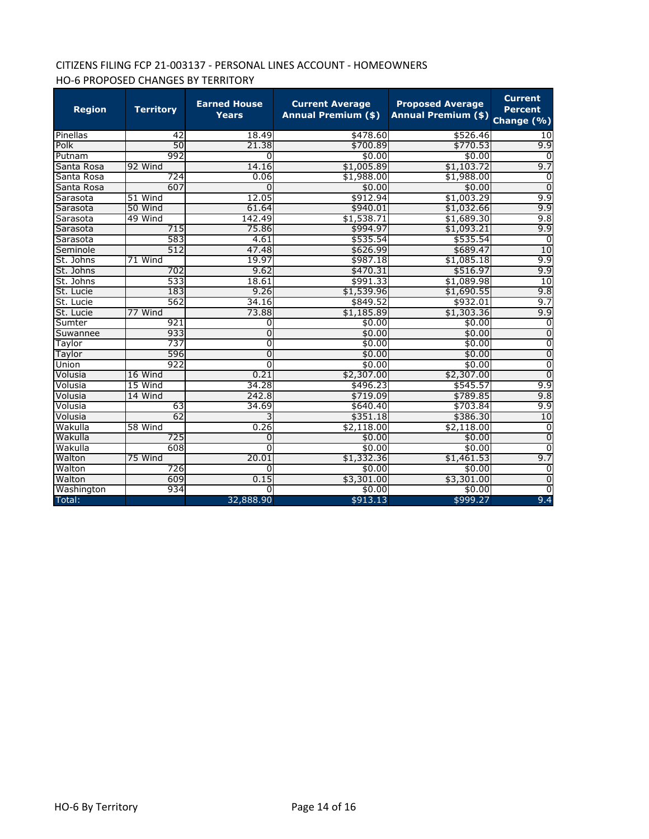# CITIZENS FILING FCP 21-003137 - PERSONAL LINES ACCOUNT - HOMEOWNERS HO-6 PROPOSED CHANGES BY TERRITORY

| <b>Region</b> | <b>Territory</b> | <b>Earned House</b><br><b>Years</b> | <b>Current Average</b><br><b>Annual Premium (\$)</b> | <b>Proposed Average</b><br><b>Annual Premium (\$)</b> | <b>Current</b><br><b>Percent</b><br>Change (%) |
|---------------|------------------|-------------------------------------|------------------------------------------------------|-------------------------------------------------------|------------------------------------------------|
| Pinellas      | 42               | 18.49                               | \$478.60                                             | \$526.46                                              | 10                                             |
| Polk          | 50               | 21.38                               | \$700.89                                             | \$770.53                                              | 9.9                                            |
| Putnam        | 992              | 0                                   | \$0.00                                               | \$0.00                                                | <sup>0</sup>                                   |
| Santa Rosa    | 92 Wind          | 14.16                               | \$1,005.89                                           | \$1,103.72                                            | 9.7                                            |
| Santa Rosa    | 724              | 0.06                                | \$1,988.00                                           | \$1,988.00                                            | 0                                              |
| Santa Rosa    | 607              | $\Omega$                            | \$0.00                                               | \$0.00                                                | $\overline{0}$                                 |
| Sarasota      | 51 Wind          | 12.05                               | \$912.94                                             | \$1,003.29                                            | 9.9                                            |
| Sarasota      | 50 Wind          | 61.64                               | \$940.01                                             | \$1,032.66                                            | 9.9                                            |
| Sarasota      | 49 Wind          | 142.49                              | \$1,538.71                                           | \$1,689.30                                            | 9.8                                            |
| Sarasota      | 715              | 75.86                               | \$994.97                                             | \$1,093.21                                            | 9.9                                            |
| Sarasota      | 583              | 4.61                                | \$535.54                                             | \$535.54                                              | $\Omega$                                       |
| Seminole      | 512              | 47.48                               | \$626.99                                             | \$689.47                                              | 10                                             |
| St. Johns     | 71 Wind          | 19.97                               | \$987.18                                             | \$1,085.18                                            | 9.9                                            |
| St. Johns     | 702              | 9.62                                | \$470.31                                             | \$516.97                                              | 9.9                                            |
| St. Johns     | 533              | 18.61                               | \$991.33                                             | \$1,089.98                                            | 10                                             |
| St. Lucie     | 183              | 9.26                                | \$1,539.96                                           | \$1,690.55                                            | 9.8                                            |
| St. Lucie     | 562              | 34.16                               | \$849.52                                             | \$932.01                                              | 9.7                                            |
| St. Lucie     | 77 Wind          | 73.88                               | \$1,185.89                                           | \$1,303.36                                            | 9.9                                            |
| Sumter        | 921              | 0                                   | \$0.00                                               | \$0.00                                                | 0                                              |
| Suwannee      | 933              | 0                                   | \$0.00                                               | \$0.00                                                | 0                                              |
| Taylor        | 737              | O                                   | \$0.00                                               | \$0.00                                                | $\overline{0}$                                 |
| Taylor        | 596              | 0                                   | \$0.00                                               | \$0.00                                                | $\overline{0}$                                 |
| Union         | 922              | 0                                   | \$0.00                                               | \$0.00                                                | $\overline{0}$                                 |
| Volusia       | 16 Wind          | 0.21                                | \$2,307.00                                           | \$2,307.00                                            | $\overline{0}$                                 |
| Volusia       | 15 Wind          | 34.28                               | \$496.23                                             | \$545.57                                              | 9.9                                            |
| Volusia       | 14 Wind          | 242.8                               | \$719.09                                             | \$789.85                                              | 9.8                                            |
| Volusia       | 63               | 34.69                               | \$640.40                                             | \$703.84                                              | 9.9                                            |
| Volusia       | 62               | 3                                   | \$351.18                                             | \$386.30                                              | 10                                             |
| Wakulla       | 58 Wind          | 0.26                                | \$2,118.00                                           | \$2,118.00                                            | 0                                              |
| Wakulla       | 725              | 0                                   | \$0.00                                               | \$0.00                                                | $\Omega$                                       |
| Wakulla       | 608              | 0                                   | \$0.00                                               | \$0.00                                                | $\Omega$                                       |
| Walton        | 75 Wind          | 20.01                               | \$1,332.36                                           | \$1,461.53                                            | 9.7                                            |
| Walton        | 726              | 0                                   | \$0.00                                               | \$0.00                                                | 0                                              |
| Walton        | 609              | 0.15                                | \$3,301.00                                           | \$3,301.00                                            | 0                                              |
| Washington    | 934              | 0                                   | \$0.00                                               | \$0.00                                                | $\overline{0}$                                 |
| Total:        |                  | 32,888.90                           | \$913.13                                             | \$999.27                                              | 9.4                                            |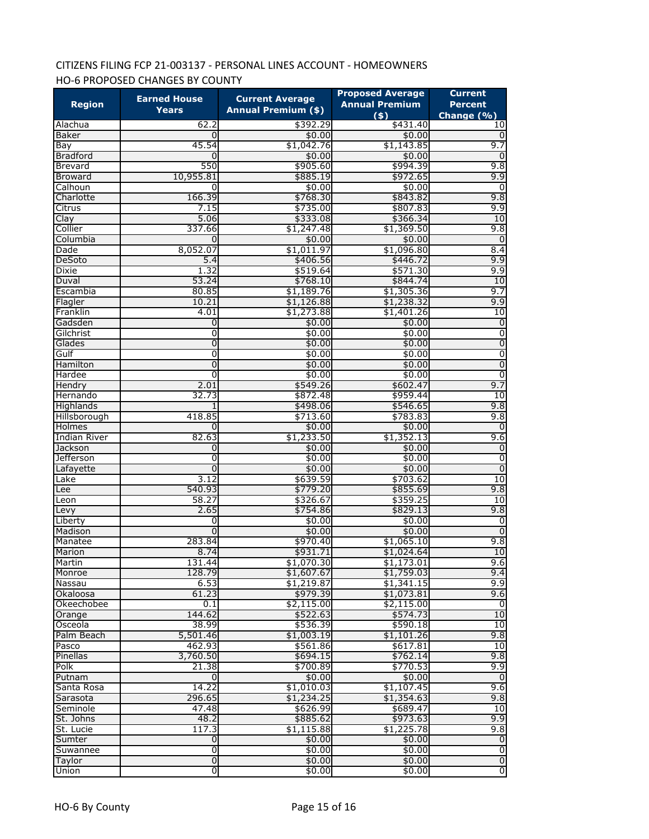# CITIZENS FILING FCP 21-003137 - PERSONAL LINES ACCOUNT - HOMEOWNERS HO-6 PROPOSED CHANGES BY COUNTY

| <b>Region</b>          | <b>Earned House</b><br>Years | <b>Current Average</b><br><b>Annual Premium (\$)</b> | <b>Proposed Average</b><br><b>Annual Premium</b> | <b>Current</b><br><b>Percent</b> |
|------------------------|------------------------------|------------------------------------------------------|--------------------------------------------------|----------------------------------|
| Alachua                | 62.2                         | \$392.29                                             | $($ \$)<br>\$431.40                              | Change (%)<br>10                 |
| <b>Baker</b>           | 0                            | \$0.00                                               | \$0.00                                           | $\Omega$                         |
| Bay                    | 45.54                        | \$1,042.76                                           | \$1,143.85                                       | 9.7                              |
| <b>Bradford</b>        | 0                            | \$0.00                                               | \$0.00                                           | $\mathbf 0$                      |
| Brevard                | 550                          | \$905.60                                             | \$994.39                                         | 9.8                              |
| <b>Broward</b>         | 10,955.81                    | \$885.19                                             | \$972.65                                         | 9.9                              |
| Calhoun                | 0                            | \$0.00                                               | \$0.00                                           | 0                                |
| Charlotte              | 166.39                       | \$768.30                                             | \$843.82                                         | 9.8                              |
| Citrus                 | 7.15                         | \$735.00                                             | \$807.83                                         | 9.9                              |
| Clay                   | 5.06                         | \$333.08                                             | \$366.34                                         | 10                               |
| Collier                | 337.66                       | \$1,247.48                                           | \$1,369.50                                       | 9.8                              |
| Columbia               | 0                            | \$0.00                                               | \$0.00                                           | 0                                |
| Dade                   | 8,052.07                     | \$1,011.97                                           | \$1,096.80                                       | 8.4                              |
| DeSoto                 | 5.4                          | \$406.56                                             | \$446.72                                         | 9.9                              |
| <b>Dixie</b>           | 1.32                         | \$519.64                                             | \$571.30                                         | 9.9                              |
| Duval                  | 53.24                        | \$768.10                                             | \$844.74                                         | 10                               |
| Escambia               | 80.85                        | \$1,189.76                                           | \$1,305.36                                       | 9.7                              |
| Flagler                | 10.21                        | \$1,126.88                                           | \$1,238.32                                       | 9.9                              |
| Franklin               | 4.01                         | \$1,273.88                                           | \$1,401.26                                       | 10                               |
| Gadsden                | 0                            | \$0.00                                               | \$0.00                                           | 0                                |
| Gilchrist              | 0                            | \$0.00                                               | \$0.00                                           | $\overline{0}$                   |
| Glades                 | 0                            | \$0.00                                               | \$0.00                                           | $\overline{0}$                   |
| Gulf                   | 0                            | \$0.00                                               | \$0.00                                           | $\overline{0}$                   |
| Hamilton               | 0                            | \$0.00                                               | \$0.00                                           | $\overline{0}$                   |
| Hardee                 | 0                            | \$0.00                                               | \$0.00                                           | $\overline{0}$                   |
| Hendry                 | 2.01                         | \$549.26                                             | \$602.47                                         | 9.7                              |
| Hernando               | 32.73                        | \$872.48                                             | \$959.44                                         | 10                               |
| Highlands              | 1                            | \$498.06                                             | \$546.65                                         | 9.8                              |
| Hillsborough           | 418.85                       | \$713.60                                             | \$783.83                                         | 9.8                              |
| Holmes                 | 0                            | \$0.00                                               | \$0.00                                           | 0                                |
| <b>Indian River</b>    | 82.63                        | \$1,233.50                                           | \$1,352.13                                       | 9.6                              |
| Jackson                | 0                            | \$0.00                                               | \$0.00                                           | 0                                |
| Jefferson              | 0                            | \$0.00                                               | \$0.00                                           | 0                                |
| Lafayette              | $\Omega$                     | \$0.00                                               | \$0.00                                           | $\overline{0}$                   |
| Lake                   | 3.12                         | \$639.59                                             | \$703.62                                         | 10                               |
| Lee                    | 540.93                       | \$779.20                                             | \$855.69                                         | 9.8                              |
| Leon                   | 58.27                        | \$326.67                                             | \$359.25                                         | 10                               |
| Levy                   | 2.65                         | \$754.86                                             | \$829.13                                         | 9.8                              |
| Liberty                | 0                            | \$0.00                                               | \$0.00                                           | 0                                |
| Madison                | 0                            | \$0.00                                               | \$0.00                                           | $\overline{0}$                   |
| Manatee                | 283.84                       | \$970.40                                             | \$1,065.10                                       | 9.8                              |
| Marion                 | 8.74                         | \$931.71                                             | \$1,024.64                                       | 10                               |
| Martin                 | 131.44                       | \$1,070.30                                           | \$1,173.01                                       | 9.6                              |
| Monroe                 | 128.79<br>6.53               | \$1,607.67                                           | \$1,759.03                                       | 9.4<br>9.9                       |
| Nassau                 | 61.23                        | \$1,219.87<br>\$979.39                               | \$1,341.15                                       | 9.6                              |
| Okaloosa<br>Okeechobee | 0.1                          | \$2,115.00                                           | \$1,073.81<br>\$2,115.00                         | $\overline{0}$                   |
| Orange                 | 144.62                       | \$522.63                                             | \$574.73                                         | 10                               |
| Osceola                | 38.99                        | \$536.39                                             | \$590.18                                         | 10                               |
| Palm Beach             | 5,501.46                     | \$1,003.19                                           | \$1,101.26                                       | 9.8                              |
| Pasco                  | 462.93                       | \$561.86                                             | \$617.81                                         | 10                               |
| Pinellas               | 3,760.50                     | \$694.15                                             | \$762.14                                         | 9.8                              |
| Polk                   | 21.38                        | \$700.89                                             | \$770.53                                         | 9.9                              |
| Putnam                 | 0                            | \$0.00                                               | \$0.00                                           | $\overline{0}$                   |
| Santa Rosa             | 14.22                        | \$1,010.03                                           | \$1,107.45                                       | 9.6                              |
| Sarasota               | 296.65                       | \$1,234.25                                           | \$1,354.63                                       | 9.8                              |
| Seminole               | 47.48                        | \$626.99                                             | \$689.47                                         | 10                               |
| St. Johns              | 48.2                         | \$885.62                                             | \$973.63                                         | 9.9                              |
| St. Lucie              | 117.3                        | \$1,115.88                                           | \$1,225.78                                       | 9.8                              |
| Sumter                 | $\mathbf 0$                  | \$0.00                                               | \$0.00                                           | $\overline{0}$                   |
| Suwannee               | 0                            | \$0.00                                               | \$0.00                                           | ō                                |
| Taylor                 | $\mathbf 0$                  | \$0.00                                               | \$0.00                                           | $\overline{0}$                   |
| Union                  | O                            | \$0.00                                               | \$0.00                                           | $\overline{0}$                   |